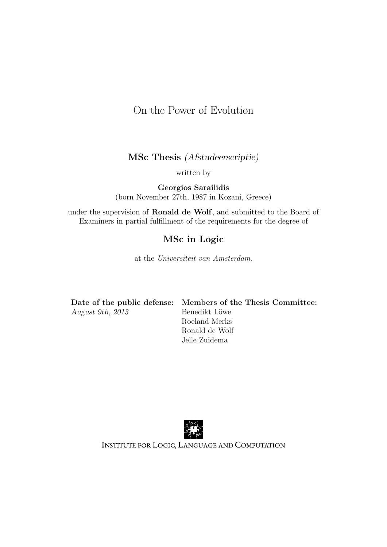### On the Power of Evolution

MSc Thesis (Afstudeerscriptie)

written by

Georgios Sarailidis (born November 27th, 1987 in Kozani, Greece)

under the supervision of Ronald de Wolf, and submitted to the Board of Examiners in partial fulfillment of the requirements for the degree of

### MSc in Logic

at the Universiteit van Amsterdam.

|                  | Date of the public defense: Members of the Thesis Committee: |
|------------------|--------------------------------------------------------------|
| August 9th, 2013 | Benedikt Löwe                                                |
|                  | Roeland Merks                                                |
|                  | Ronald de Wolf                                               |



Jelle Zuidema



INSTITUTE FOR LOGIC, LANGUAGE AND COMPUTATION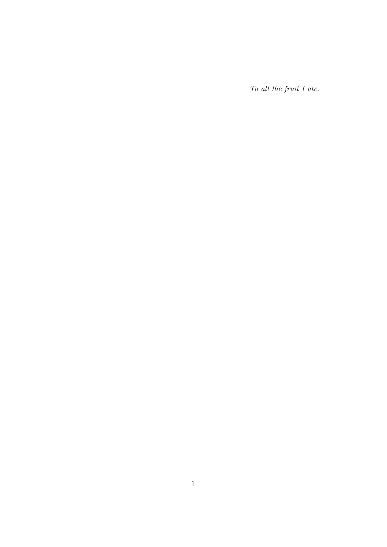To all the fruit I ate.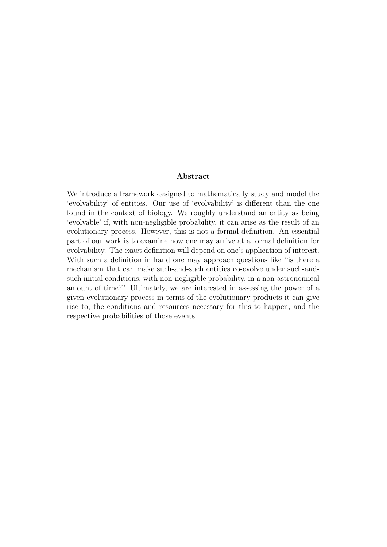#### Abstract

We introduce a framework designed to mathematically study and model the 'evolvability' of entities. Our use of 'evolvability' is different than the one found in the context of biology. We roughly understand an entity as being 'evolvable' if, with non-negligible probability, it can arise as the result of an evolutionary process. However, this is not a formal definition. An essential part of our work is to examine how one may arrive at a formal definition for evolvability. The exact definition will depend on one's application of interest. With such a definition in hand one may approach questions like "is there a mechanism that can make such-and-such entities co-evolve under such-andsuch initial conditions, with non-negligible probability, in a non-astronomical amount of time?" Ultimately, we are interested in assessing the power of a given evolutionary process in terms of the evolutionary products it can give rise to, the conditions and resources necessary for this to happen, and the respective probabilities of those events.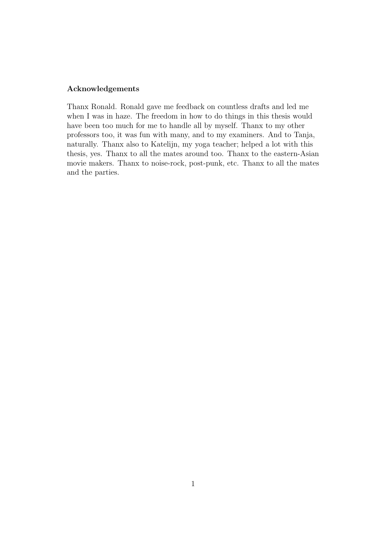#### Acknowledgements

Thanx Ronald. Ronald gave me feedback on countless drafts and led me when I was in haze. The freedom in how to do things in this thesis would have been too much for me to handle all by myself. Thanx to my other professors too, it was fun with many, and to my examiners. And to Tanja, naturally. Thanx also to Katelijn, my yoga teacher; helped a lot with this thesis, yes. Thanx to all the mates around too. Thanx to the eastern-Asian movie makers. Thanx to noise-rock, post-punk, etc. Thanx to all the mates and the parties.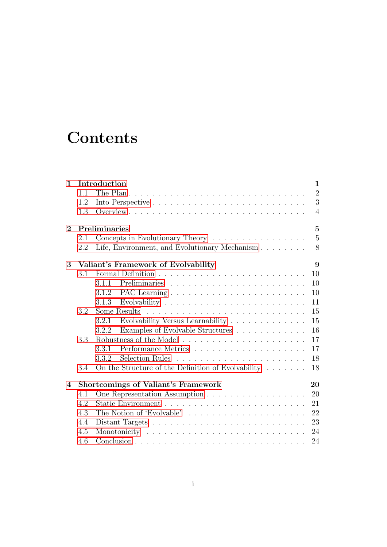## **Contents**

| $\mathbf{1}$   |     | Introduction                                                                 | $\mathbf{1}$   |
|----------------|-----|------------------------------------------------------------------------------|----------------|
|                | 1.1 |                                                                              | $\overline{2}$ |
|                | 1.2 |                                                                              | 3              |
|                | 1.3 |                                                                              | $\overline{4}$ |
| $\overline{2}$ |     | Preliminaries                                                                | $\overline{5}$ |
|                | 2.1 | Concepts in Evolutionary Theory                                              | $\overline{5}$ |
|                | 2.2 | Life, Environment, and Evolutionary Mechanism                                | 8              |
| 3              |     | Valiant's Framework of Evolvability                                          | 9              |
|                | 3.1 |                                                                              | 10             |
|                |     | 3.1.1                                                                        | 10             |
|                |     | 3.1.2                                                                        | 10             |
|                |     | 3.1.3                                                                        | 11             |
|                | 3.2 |                                                                              | 15             |
|                |     | Evolvability Versus Learnability<br>3.2.1                                    | 15             |
|                |     | Examples of Evolvable Structures<br>3.2.2                                    | 16             |
|                | 3.3 |                                                                              | 17             |
|                |     | 3.3.1                                                                        | 17             |
|                |     | Selection Rules<br>3.3.2                                                     | 18             |
|                | 3.4 | On the Structure of the Definition of Evolvability $\dots \dots$             | 18             |
| $\overline{4}$ |     | <b>Shortcomings of Valiant's Framework</b>                                   | 20             |
|                | 4.1 |                                                                              | 20             |
|                | 4.2 |                                                                              | 21             |
|                | 4.3 | The Notion of 'Evolvable' $\ldots \ldots \ldots \ldots \ldots \ldots \ldots$ | 22             |
|                | 4.4 |                                                                              | 23             |
|                | 4.5 |                                                                              | 24             |
|                | 4.6 |                                                                              | 24             |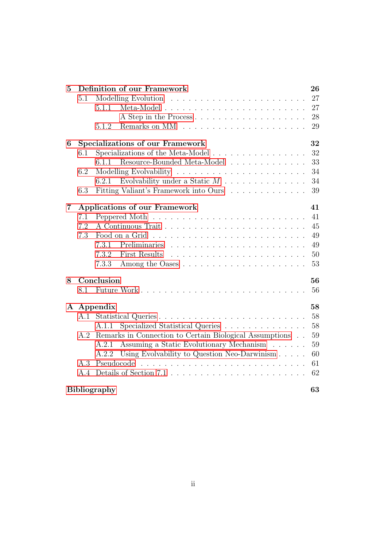| $\overline{5}$           | Definition of our Framework                                                             | 26     |
|--------------------------|-----------------------------------------------------------------------------------------|--------|
|                          | 5.1                                                                                     | 27     |
|                          | 5.1.1                                                                                   | 27     |
|                          | A Step in the Process                                                                   | 28     |
|                          | 5.1.2                                                                                   | 29     |
| 6                        | <b>Specializations of our Framework</b>                                                 | 32     |
|                          | Specializations of the Meta-Model<br>6.1                                                | 32     |
|                          | Resource-Bounded Meta-Model<br>6.1.1                                                    | 33     |
|                          | 6.2                                                                                     | 34     |
|                          | Evolvability under a Static $M$<br>6.2.1                                                | 34     |
|                          | Fitting Valiant's Framework into Ours<br>6.3                                            | 39     |
| 7                        | <b>Applications of our Framework</b>                                                    | 41     |
|                          | 7.1                                                                                     | 41     |
|                          | 7.2                                                                                     | $45\,$ |
|                          | Food on a Grid<br>7.3                                                                   | 49     |
|                          | 7.3.1                                                                                   | 49     |
|                          | 7.3.2<br>First Results                                                                  | 50     |
|                          | 7.3.3                                                                                   | 53     |
| 8                        | Conclusion                                                                              | 56     |
|                          | 8.1                                                                                     | 56     |
| Appendix<br>$\mathbf{A}$ |                                                                                         | 58     |
|                          | A.1                                                                                     | 58     |
|                          | Specialized Statistical Queries<br>A.1.1                                                | 58     |
|                          | Remarks in Connection to Certain Biological Assumptions<br>A.2                          | 59     |
|                          | Assuming a Static Evolutionary Mechanism<br>A.2.1                                       | 59     |
|                          | Using Evolvability to Question Neo-Darwinism<br>A.2.2                                   | 60     |
|                          | Pseudocode<br>A.3                                                                       | 61     |
|                          | Details of Section 7.1 $\ldots \ldots \ldots \ldots \ldots \ldots \ldots \ldots$<br>A.4 | 62     |
|                          | <b>Bibliography</b>                                                                     | 63     |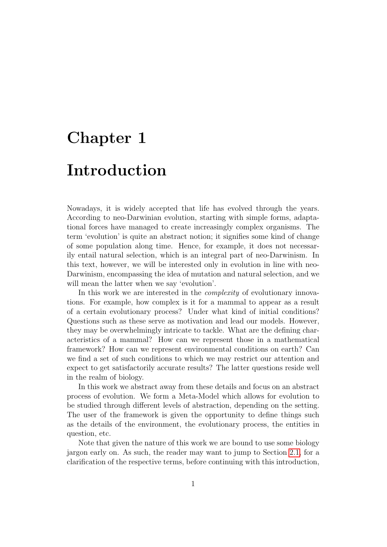## <span id="page-6-0"></span>Chapter 1 Introduction

Nowadays, it is widely accepted that life has evolved through the years. According to neo-Darwinian evolution, starting with simple forms, adaptational forces have managed to create increasingly complex organisms. The term 'evolution' is quite an abstract notion; it signifies some kind of change of some population along time. Hence, for example, it does not necessarily entail natural selection, which is an integral part of neo-Darwinism. In this text, however, we will be interested only in evolution in line with neo-Darwinism, encompassing the idea of mutation and natural selection, and we will mean the latter when we say 'evolution'.

In this work we are interested in the *complexity* of evolutionary innovations. For example, how complex is it for a mammal to appear as a result of a certain evolutionary process? Under what kind of initial conditions? Questions such as these serve as motivation and lead our models. However, they may be overwhelmingly intricate to tackle. What are the defining characteristics of a mammal? How can we represent those in a mathematical framework? How can we represent environmental conditions on earth? Can we find a set of such conditions to which we may restrict our attention and expect to get satisfactorily accurate results? The latter questions reside well in the realm of biology.

In this work we abstract away from these details and focus on an abstract process of evolution. We form a Meta-Model which allows for evolution to be studied through different levels of abstraction, depending on the setting. The user of the framework is given the opportunity to define things such as the details of the environment, the evolutionary process, the entities in question, etc.

Note that given the nature of this work we are bound to use some biology jargon early on. As such, the reader may want to jump to Section [2.1,](#page-10-1) for a clarification of the respective terms, before continuing with this introduction,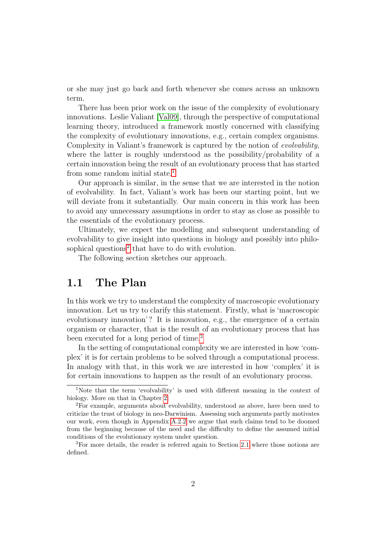or she may just go back and forth whenever she comes across an unknown term.

There has been prior work on the issue of the complexity of evolutionary innovations. Leslie Valiant [\[Val09\]](#page-69-0), through the perspective of computational learning theory, introduced a framework mostly concerned with classifying the complexity of evolutionary innovations, e.g., certain complex organisms. Complexity in Valiant's framework is captured by the notion of evolvability, where the latter is roughly understood as the possibility/probability of a certain innovation being the result of an evolutionary process that has started from some random initial state.<sup>[1](#page-7-1)</sup>

Our approach is similar, in the sense that we are interested in the notion of evolvability. In fact, Valiant's work has been our starting point, but we will deviate from it substantially. Our main concern in this work has been to avoid any unnecessary assumptions in order to stay as close as possible to the essentials of the evolutionary process.

Ultimately, we expect the modelling and subsequent understanding of evolvability to give insight into questions in biology and possibly into philo-sophical questions<sup>[2](#page-7-2)</sup> that have to do with evolution.

The following section sketches our approach.

### <span id="page-7-0"></span>1.1 The Plan

In this work we try to understand the complexity of macroscopic evolutionary innovation. Let us try to clarify this statement. Firstly, what is 'macroscopic evolutionary innovation'? It is innovation, e.g., the emergence of a certain organism or character, that is the result of an evolutionary process that has been executed for a long period of time.[3](#page-7-3)

In the setting of computational complexity we are interested in how 'complex' it is for certain problems to be solved through a computational process. In analogy with that, in this work we are interested in how 'complex' it is for certain innovations to happen as the result of an evolutionary process.

<span id="page-7-1"></span><sup>1</sup>Note that the term 'evolvability' is used with different meaning in the context of biology. More on that in Chapter [2.](#page-10-0)

<span id="page-7-2"></span><sup>2</sup>For example, arguments about evolvability, understood as above, have been used to criticize the trust of biology in neo-Darwinism. Assessing such arguments partly motivates our work, even though in Appendix [A.2.2](#page-65-0) we argue that such claims tend to be doomed from the beginning because of the need and the difficulty to define the assumed initial conditions of the evolutionary system under question.

<span id="page-7-3"></span><sup>3</sup>For more details, the reader is referred again to Section [2.1](#page-10-1) where those notions are defined.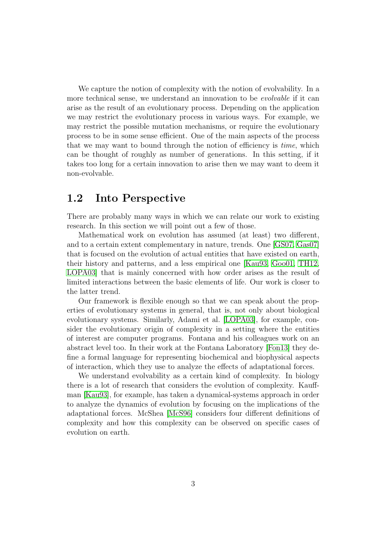We capture the notion of complexity with the notion of evolvability. In a more technical sense, we understand an innovation to be evolvable if it can arise as the result of an evolutionary process. Depending on the application we may restrict the evolutionary process in various ways. For example, we may restrict the possible mutation mechanisms, or require the evolutionary process to be in some sense efficient. One of the main aspects of the process that we may want to bound through the notion of efficiency is time, which can be thought of roughly as number of generations. In this setting, if it takes too long for a certain innovation to arise then we may want to deem it non-evolvable.

### <span id="page-8-0"></span>1.2 Into Perspective

There are probably many ways in which we can relate our work to existing research. In this section we will point out a few of those.

Mathematical work on evolution has assumed (at least) two different, and to a certain extent complementary in nature, trends. One [\[GS07,](#page-68-1) [Gas07\]](#page-68-2) that is focused on the evolution of actual entities that have existed on earth, their history and patterns, and a less empirical one [\[Kau93,](#page-69-1) [Goo01,](#page-68-3) [TH12,](#page-69-2) [LOPA03\]](#page-69-3) that is mainly concerned with how order arises as the result of limited interactions between the basic elements of life. Our work is closer to the latter trend.

Our framework is flexible enough so that we can speak about the properties of evolutionary systems in general, that is, not only about biological evolutionary systems. Similarly, Adami et al. [\[LOPA03\]](#page-69-3), for example, consider the evolutionary origin of complexity in a setting where the entities of interest are computer programs. Fontana and his colleagues work on an abstract level too. In their work at the Fontana Laboratory [\[Fon13\]](#page-68-4) they define a formal language for representing biochemical and biophysical aspects of interaction, which they use to analyze the effects of adaptational forces.

We understand evolvability as a certain kind of complexity. In biology there is a lot of research that considers the evolution of complexity. Kauffman [\[Kau93\]](#page-69-1), for example, has taken a dynamical-systems approach in order to analyze the dynamics of evolution by focusing on the implications of the adaptational forces. McShea [\[McS96\]](#page-69-4) considers four different definitions of complexity and how this complexity can be observed on specific cases of evolution on earth.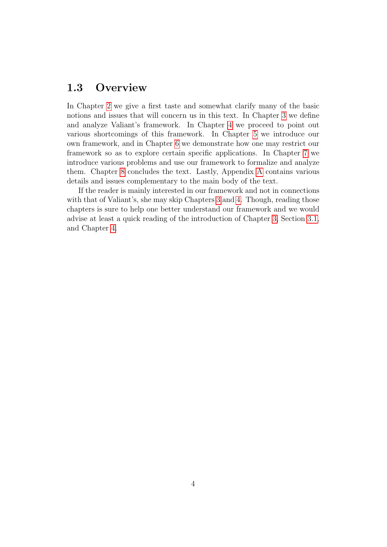### <span id="page-9-0"></span>1.3 Overview

In Chapter [2](#page-10-0) we give a first taste and somewhat clarify many of the basic notions and issues that will concern us in this text. In Chapter [3](#page-14-0) we define and analyze Valiant's framework. In Chapter [4](#page-25-0) we proceed to point out various shortcomings of this framework. In Chapter [5](#page-31-0) we introduce our own framework, and in Chapter [6](#page-37-0) we demonstrate how one may restrict our framework so as to explore certain specific applications. In Chapter [7](#page-46-0) we introduce various problems and use our framework to formalize and analyze them. Chapter [8](#page-61-0) concludes the text. Lastly, Appendix [A](#page-63-0) contains various details and issues complementary to the main body of the text.

If the reader is mainly interested in our framework and not in connections with that of Valiant's, she may skip Chapters [3](#page-14-0) and [4.](#page-25-0) Though, reading those chapters is sure to help one better understand our framework and we would advise at least a quick reading of the introduction of Chapter [3,](#page-14-0) Section [3.1,](#page-15-0) and Chapter [4.](#page-25-0)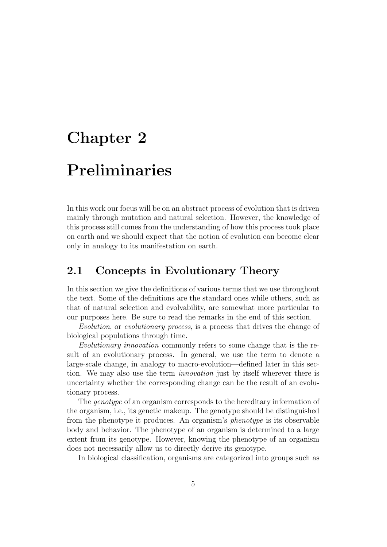### <span id="page-10-0"></span>Chapter 2

### Preliminaries

In this work our focus will be on an abstract process of evolution that is driven mainly through mutation and natural selection. However, the knowledge of this process still comes from the understanding of how this process took place on earth and we should expect that the notion of evolution can become clear only in analogy to its manifestation on earth.

### <span id="page-10-1"></span>2.1 Concepts in Evolutionary Theory

In this section we give the definitions of various terms that we use throughout the text. Some of the definitions are the standard ones while others, such as that of natural selection and evolvability, are somewhat more particular to our purposes here. Be sure to read the remarks in the end of this section.

Evolution, or evolutionary process, is a process that drives the change of biological populations through time.

Evolutionary innovation commonly refers to some change that is the result of an evolutionary process. In general, we use the term to denote a large-scale change, in analogy to macro-evolution—defined later in this section. We may also use the term *innovation* just by itself wherever there is uncertainty whether the corresponding change can be the result of an evolutionary process.

The *genotype* of an organism corresponds to the hereditary information of the organism, i.e., its genetic makeup. The genotype should be distinguished from the phenotype it produces. An organism's phenotype is its observable body and behavior. The phenotype of an organism is determined to a large extent from its genotype. However, knowing the phenotype of an organism does not necessarily allow us to directly derive its genotype.

In biological classification, organisms are categorized into groups such as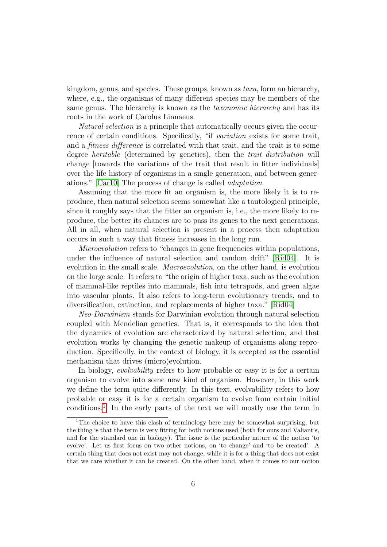kingdom, genus, and species. These groups, known as taxa, form an hierarchy, where, e.g., the organisms of many different species may be members of the same genus. The hierarchy is known as the *taxonomic hierarchy* and has its roots in the work of Carolus Linnaeus.

Natural selection is a principle that automatically occurs given the occurrence of certain conditions. Specifically, "if variation exists for some trait, and a *fitness difference* is correlated with that trait, and the trait is to some degree *heritable* (determined by genetics), then the *trait distribution* will change [towards the variations of the trait that result in fitter individuals] over the life history of organisms in a single generation, and between generations." [\[Car10\]](#page-68-5) The process of change is called adaptation.

Assuming that the more fit an organism is, the more likely it is to reproduce, then natural selection seems somewhat like a tautological principle, since it roughly says that the fitter an organism is, i.e., the more likely to reproduce, the better its chances are to pass its genes to the next generations. All in all, when natural selection is present in a process then adaptation occurs in such a way that fitness increases in the long run.

Microevolution refers to "changes in gene frequencies within populations, under the influence of natural selection and random drift" [\[Rid04\]](#page-69-5). It is evolution in the small scale. Macroevolution, on the other hand, is evolution on the large scale. It refers to "the origin of higher taxa, such as the evolution of mammal-like reptiles into mammals, fish into tetrapods, and green algae into vascular plants. It also refers to long-term evolutionary trends, and to diversification, extinction, and replacements of higher taxa." [\[Rid04\]](#page-69-5)

Neo-Darwinism stands for Darwinian evolution through natural selection coupled with Mendelian genetics. That is, it corresponds to the idea that the dynamics of evolution are characterized by natural selection, and that evolution works by changing the genetic makeup of organisms along reproduction. Specifically, in the context of biology, it is accepted as the essential mechanism that drives (micro)evolution.

In biology, *evolvability* refers to how probable or easy it is for a certain organism to evolve into some new kind of organism. However, in this work we define the term quite differently. In this text, evolvability refers to how probable or easy it is for a certain organism to evolve from certain initial conditions.<sup>[1](#page-11-0)</sup> In the early parts of the text we will mostly use the term in

<span id="page-11-0"></span><sup>&</sup>lt;sup>1</sup>The choice to have this clash of terminology here may be somewhat surprising, but the thing is that the term is very fitting for both notions used (both for ours and Valiant's, and for the standard one in biology). The issue is the particular nature of the notion 'to evolve'. Let us first focus on two other notions, on 'to change' and 'to be created'. A certain thing that does not exist may not change, while it is for a thing that does not exist that we care whether it can be created. On the other hand, when it comes to our notion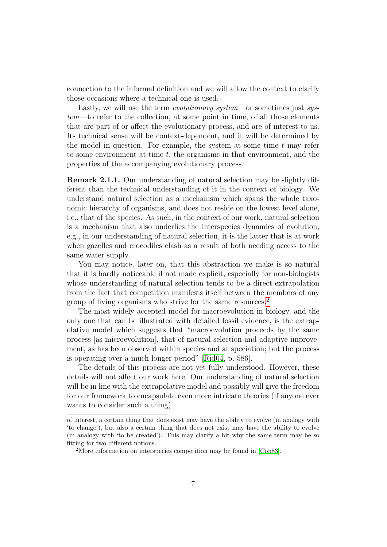connection to the informal definition and we will allow the context to clarify those occasions where a technical one is used.

Lastly, we will use the term *evolutionary system*—or sometimes just *sys*tem—to refer to the collection, at some point in time, of all those elements that are part of or affect the evolutionary process, and are of interest to us. Its technical sense will be context-dependent, and it will be determined by the model in question. For example, the system at some time  $t$  may refer to some environment at time  $t$ , the organisms in that environment, and the properties of the accompanying evolutionary process.

Remark 2.1.1. Our understanding of natural selection may be slightly different than the technical understanding of it in the context of biology. We understand natural selection as a mechanism which spans the whole taxonomic hierarchy of organisms, and does not reside on the lowest level alone, i.e., that of the species. As such, in the context of our work, natural selection is a mechanism that also underlies the interspecies dynamics of evolution, e.g., in our understanding of natural selection, it is the latter that is at work when gazelles and crocodiles clash as a result of both needing access to the same water supply.

You may notice, later on, that this abstraction we make is so natural that it is hardly noticeable if not made explicit, especially for non-biologists whose understanding of natural selection tends to be a direct extrapolation from the fact that competition manifests itself between the members of any group of living organisms who strive for the same resources.<sup>[2](#page-12-0)</sup>

The most widely accepted model for macroevolution in biology, and the only one that can be illustrated with detailed fossil evidence, is the extrapolative model which suggests that "macroevolution proceeds by the same process [as microevolution], that of natural selection and adaptive improvement, as has been observed within species and at speciation; but the process is operating over a much longer period" [\[Rid04,](#page-69-5) p. 586].

The details of this process are not yet fully understood. However, these details will not affect our work here. Our understanding of natural selection will be in line with the extrapolative model and possibly will give the freedom for our framework to encapsulate even more intricate theories (if anyone ever wants to consider such a thing).

of interest, a certain thing that does exist may have the ability to evolve (in analogy with 'to change'), but also a certain thing that does not exist may have the ability to evolve (in analogy with 'to be created'). This may clarify a bit why the same term may be so fitting for two different notions.

<span id="page-12-0"></span><sup>2</sup>More information on interspecies competition may be found in [\[Con83\]](#page-68-6).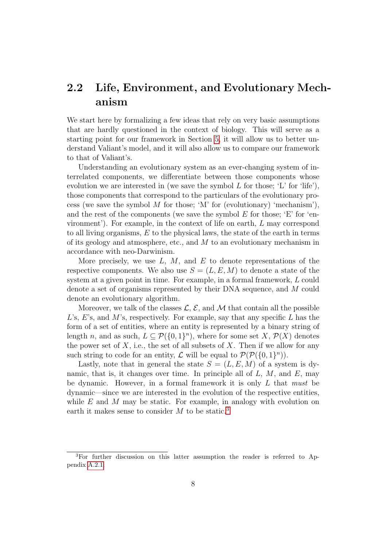### <span id="page-13-0"></span>2.2 Life, Environment, and Evolutionary Mechanism

We start here by formalizing a few ideas that rely on very basic assumptions that are hardly questioned in the context of biology. This will serve as a starting point for our framework in Section [5,](#page-31-0) it will allow us to better understand Valiant's model, and it will also allow us to compare our framework to that of Valiant's.

Understanding an evolutionary system as an ever-changing system of interrelated components, we differentiate between those components whose evolution we are interested in (we save the symbol  $L$  for those; 'L' for 'life'), those components that correspond to the particulars of the evolutionary process (we save the symbol M for those; 'M' for (evolutionary) 'mechanism'), and the rest of the components (we save the symbol  $E$  for those; 'E' for 'environment'). For example, in the context of life on earth, L may correspond to all living organisms,  $E$  to the physical laws, the state of the earth in terms of its geology and atmosphere, etc., and  $M$  to an evolutionary mechanism in accordance with neo-Darwinism.

More precisely, we use  $L, M$ , and  $E$  to denote representations of the respective components. We also use  $S = (L, E, M)$  to denote a state of the system at a given point in time. For example, in a formal framework, L could denote a set of organisms represented by their DNA sequence, and M could denote an evolutionary algorithm.

Moreover, we talk of the classes  $\mathcal{L}, \mathcal{E}$ , and M that contain all the possible  $L$ 's,  $E$ 's, and  $M$ 's, respectively. For example, say that any specific  $L$  has the form of a set of entities, where an entity is represented by a binary string of length n, and as such,  $L \subseteq \mathcal{P}(\{0,1\}^n)$ , where for some set X,  $\mathcal{P}(X)$  denotes the power set of  $X$ , i.e., the set of all subsets of  $X$ . Then if we allow for any such string to code for an entity,  $\mathcal L$  will be equal to  $\mathcal P(\mathcal P(\{0,1\}^n))$ .

Lastly, note that in general the state  $S = (L, E, M)$  of a system is dynamic, that is, it changes over time. In principle all of  $L, M$ , and  $E$ , may be dynamic. However, in a formal framework it is only  $L$  that must be dynamic—since we are interested in the evolution of the respective entities, while  $E$  and  $M$  may be static. For example, in analogy with evolution on earth it makes sense to consider  $M$  to be static.<sup>[3](#page-13-1)</sup>

<span id="page-13-1"></span><sup>3</sup>For further discussion on this latter assumption the reader is referred to Appendix [A.2.1.](#page-64-1)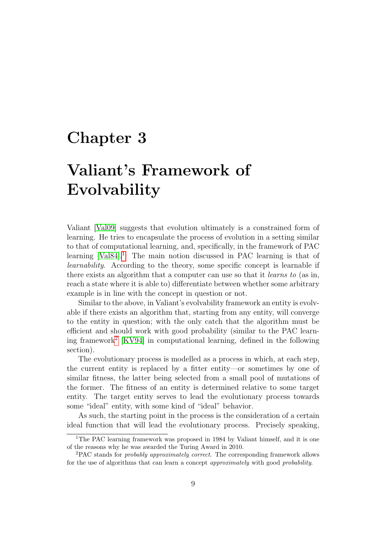### <span id="page-14-0"></span>Chapter 3

## Valiant's Framework of Evolvability

Valiant [\[Val09\]](#page-69-0) suggests that evolution ultimately is a constrained form of learning. He tries to encapsulate the process of evolution in a setting similar to that of computational learning, and, specifically, in the framework of PAC learning [\[Val84\]](#page-69-6).<sup>[1](#page-14-1)</sup> The main notion discussed in PAC learning is that of learnability. According to the theory, some specific concept is learnable if there exists an algorithm that a computer can use so that it learns to (as in, reach a state where it is able to) differentiate between whether some arbitrary example is in line with the concept in question or not.

Similar to the above, in Valiant's evolvability framework an entity is evolvable if there exists an algorithm that, starting from any entity, will converge to the entity in question; with the only catch that the algorithm must be efficient and should work with good probability (similar to the PAC learning framework[2](#page-14-2) [\[KV94\]](#page-69-7) in computational learning, defined in the following section).

The evolutionary process is modelled as a process in which, at each step, the current entity is replaced by a fitter entity—or sometimes by one of similar fitness, the latter being selected from a small pool of mutations of the former. The fitness of an entity is determined relative to some target entity. The target entity serves to lead the evolutionary process towards some "ideal" entity, with some kind of "ideal" behavior.

As such, the starting point in the process is the consideration of a certain ideal function that will lead the evolutionary process. Precisely speaking,

<span id="page-14-1"></span><sup>&</sup>lt;sup>1</sup>The PAC learning framework was proposed in 1984 by Valiant himself, and it is one of the reasons why he was awarded the Turing Award in 2010.

<span id="page-14-2"></span><sup>2</sup>PAC stands for probably approximately correct. The corresponding framework allows for the use of algorithms that can learn a concept *approximately* with good *probability*.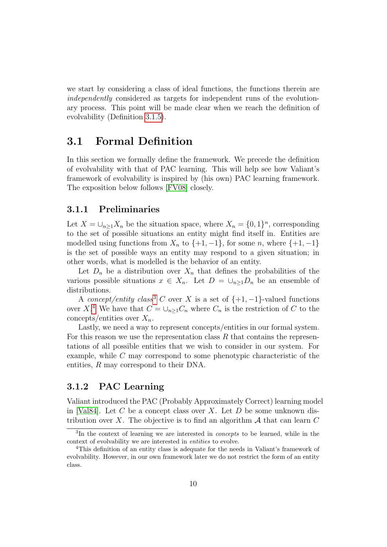we start by considering a class of ideal functions, the functions therein are independently considered as targets for independent runs of the evolutionary process. This point will be made clear when we reach the definition of evolvability (Definition [3.1.5\)](#page-19-0).

### <span id="page-15-0"></span>3.1 Formal Definition

In this section we formally define the framework. We precede the definition of evolvability with that of PAC learning. This will help see how Valiant's framework of evolvability is inspired by (his own) PAC learning framework. The exposition below follows [\[FV08\]](#page-68-7) closely.

#### <span id="page-15-1"></span>3.1.1 Preliminaries

Let  $X = \bigcup_{n \geq 1} X_n$  be the situation space, where  $X_n = \{0, 1\}^n$ , corresponding to the set of possible situations an entity might find itself in. Entities are modelled using functions from  $X_n$  to  $\{+1, -1\}$ , for some n, where  $\{+1, -1\}$ is the set of possible ways an entity may respond to a given situation; in other words, what is modelled is the behavior of an entity.

Let  $D_n$  be a distribution over  $X_n$  that defines the probabilities of the various possible situations  $x \in X_n$ . Let  $D = \bigcup_{n \geq 1} D_n$  be an ensemble of distributions.

A concept/entity class<sup>[3](#page-15-3)</sup> C over X is a set of  $\{+1, -1\}$ -valued functions over X<sup>[4](#page-15-4)</sup>. We have that  $C = \bigcup_{n \geq 1} C_n$  where  $C_n$  is the restriction of C to the concepts/entities over  $X_n$ .

Lastly, we need a way to represent concepts/entities in our formal system. For this reason we use the representation class  $R$  that contains the representations of all possible entities that we wish to consider in our system. For example, while C may correspond to some phenotypic characteristic of the entities, R may correspond to their DNA.

### <span id="page-15-2"></span>3.1.2 PAC Learning

Valiant introduced the PAC (Probably Approximately Correct) learning model in [\[Val84\]](#page-69-6). Let  $C$  be a concept class over  $X$ . Let  $D$  be some unknown distribution over X. The objective is to find an algorithm  $A$  that can learn C

<span id="page-15-3"></span><sup>&</sup>lt;sup>3</sup>In the context of learning we are interested in *concepts* to be learned, while in the context of evolvability we are interested in entities to evolve.

<span id="page-15-4"></span><sup>4</sup>This definition of an entity class is adequate for the needs in Valiant's framework of evolvability. However, in our own framework later we do not restrict the form of an entity class.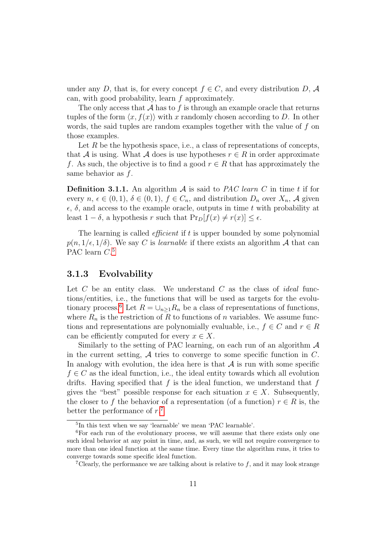under any D, that is, for every concept  $f \in C$ , and every distribution D, A can, with good probability, learn f approximately.

The only access that  $A$  has to  $f$  is through an example oracle that returns tuples of the form  $\langle x, f(x) \rangle$  with x randomly chosen according to D. In other words, the said tuples are random examples together with the value of  $f$  on those examples.

Let  $R$  be the hypothesis space, i.e., a class of representations of concepts, that A is using. What A does is use hypotheses  $r \in R$  in order approximate f. As such, the objective is to find a good  $r \in R$  that has approximately the same behavior as  $f$ .

**Definition 3.1.1.** An algorithm  $A$  is said to *PAC learn C* in time t if for every  $n, \epsilon \in (0, 1), \delta \in (0, 1), f \in C_n$ , and distribution  $D_n$  over  $X_n$ , A given  $\epsilon$ ,  $\delta$ , and access to the example oracle, outputs in time t with probability at least  $1 - \delta$ , a hypothesis r such that  $Pr_D[f(x) \neq r(x)] \leq \epsilon$ .

The learning is called *efficient* if  $t$  is upper bounded by some polynomial  $p(n, 1/\epsilon, 1/\delta)$ . We say C is learnable if there exists an algorithm A that can PAC learn  $C$ <sup>[5](#page-16-1)</sup>

#### <span id="page-16-0"></span>3.1.3 Evolvability

Let  $C$  be an entity class. We understand  $C$  as the class of *ideal* functions/entities, i.e., the functions that will be used as targets for the evolu-tionary process.<sup>[6](#page-16-2)</sup> Let  $R = \bigcup_{n>1} R_n$  be a class of representations of functions, where  $R_n$  is the restriction of R to functions of n variables. We assume functions and representations are polynomially evaluable, i.e.,  $f \in C$  and  $r \in R$ can be efficiently computed for every  $x \in X$ .

Similarly to the setting of PAC learning, on each run of an algorithm  $A$ in the current setting,  $A$  tries to converge to some specific function in  $C$ . In analogy with evolution, the idea here is that  $A$  is run with some specific  $f \in C$  as the ideal function, i.e., the ideal entity towards which all evolution drifts. Having specified that  $f$  is the ideal function, we understand that  $f$ gives the "best" possible response for each situation  $x \in X$ . Subsequently, the closer to f the behavior of a representation (of a function)  $r \in R$  is, the better the performance of  $r<sup>7</sup>$  $r<sup>7</sup>$  $r<sup>7</sup>$ 

<span id="page-16-2"></span><span id="page-16-1"></span><sup>5</sup> In this text when we say 'learnable' we mean 'PAC learnable'.

 ${}^{6}$ For each run of the evolutionary process, we will assume that there exists only one such ideal behavior at any point in time, and, as such, we will not require convergence to more than one ideal function at the same time. Every time the algorithm runs, it tries to converge towards some specific ideal function.

<span id="page-16-3"></span><sup>&</sup>lt;sup>7</sup>Clearly, the performance we are talking about is relative to  $f$ , and it may look strange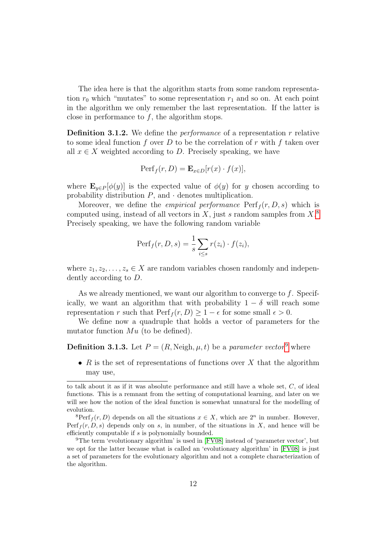The idea here is that the algorithm starts from some random representation  $r_0$  which "mutates" to some representation  $r_1$  and so on. At each point in the algorithm we only remember the last representation. If the latter is close in performance to  $f$ , the algorithm stops.

<span id="page-17-2"></span>**Definition 3.1.2.** We define the *performance* of a representation r relative to some ideal function f over D to be the correlation of r with f taken over all  $x \in X$  weighted according to D. Precisely speaking, we have

$$
Perf_f(r, D) = \mathbf{E}_{x \in D}[r(x) \cdot f(x)],
$$

where  $\mathbf{E}_{y\in P}[\phi(y)]$  is the expected value of  $\phi(y)$  for y chosen according to probability distribution  $P$ , and  $\cdot$  denotes multiplication.

Moreover, we define the *empirical performance*  $\text{Perf}_f(r, D, s)$  which is computed using, instead of all vectors in  $X$ , just s random samples from  $X$ .<sup>[8](#page-17-0)</sup> Precisely speaking, we have the following random variable

$$
Perf_f(r, D, s) = \frac{1}{s} \sum_{i \le s} r(z_i) \cdot f(z_i),
$$

where  $z_1, z_2, \ldots, z_s \in X$  are random variables chosen randomly and independently according to D.

As we already mentioned, we want our algorithm to converge to  $f$ . Specifically, we want an algorithm that with probability  $1 - \delta$  will reach some representation r such that  $\operatorname{Perf}_f(r, D) \geq 1 - \epsilon$  for some small  $\epsilon > 0$ .

We define now a quadruple that holds a vector of parameters for the mutator function  $Mu$  (to be defined).

#### **Definition 3.1.3.** Let  $P = (R, Neigh, \mu, t)$  be a *parameter vector*<sup>[9](#page-17-1)</sup> where

• R is the set of representations of functions over X that the algorithm may use,

to talk about it as if it was absolute performance and still have a whole set, C, of ideal functions. This is a remnant from the setting of computational learning, and later on we will see how the notion of the ideal function is somewhat unnatural for the modelling of evolution.

<span id="page-17-0"></span><sup>&</sup>lt;sup>8</sup>Perf<sub>f</sub> $(r, D)$  depends on all the situations  $x \in X$ , which are  $2<sup>n</sup>$  in number. However, Perf<sub>f</sub> $(r, D, s)$  depends only on s, in number, of the situations in X, and hence will be efficiently computable if s is polynomially bounded.

<span id="page-17-1"></span><sup>9</sup>The term 'evolutionary algorithm' is used in [\[FV08\]](#page-68-7) instead of 'parameter vector', but we opt for the latter because what is called an 'evolutionary algorithm' in [\[FV08\]](#page-68-7) is just a set of parameters for the evolutionary algorithm and not a complete characterization of the algorithm.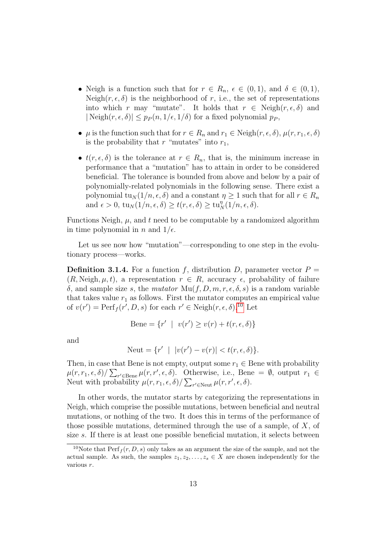- Neigh is a function such that for  $r \in R_n$ ,  $\epsilon \in (0,1)$ , and  $\delta \in (0,1)$ , Neigh $(r, \epsilon, \delta)$  is the neighborhood of r, i.e., the set of representations into which r may "mutate". It holds that  $r \in \text{Neigh}(r, \epsilon, \delta)$  and  $|\text{Neigh}(r, \epsilon, \delta)| \leq p_P(n, 1/\epsilon, 1/\delta)$  for a fixed polynomial  $p_P$ ,
- $\mu$  is the function such that for  $r \in R_n$  and  $r_1 \in Neigh(r, \epsilon, \delta), \mu(r, r_1, \epsilon, \delta)$ is the probability that r "mutates" into  $r_1$ ,
- $t(r, \epsilon, \delta)$  is the tolerance at  $r \in R_n$ , that is, the minimum increase in performance that a "mutation" has to attain in order to be considered beneficial. The tolerance is bounded from above and below by a pair of polynomially-related polynomials in the following sense. There exist a polynomial tu<sub>N</sub> (1/n,  $\epsilon$ ,  $\delta$ ) and a constant  $\eta \geq 1$  such that for all  $r \in R_n$ and  $\epsilon > 0$ ,  $\text{tu}_N(1/n, \epsilon, \delta) \ge t(r, \epsilon, \delta) \ge \text{tu}_N^{\eta}(1/n, \epsilon, \delta).$

Functions Neigh,  $\mu$ , and t need to be computable by a randomized algorithm in time polynomial in n and  $1/\epsilon$ .

Let us see now how "mutation"—corresponding to one step in the evolutionary process—works.

<span id="page-18-1"></span>**Definition 3.1.4.** For a function f, distribution D, parameter vector  $P =$  $(R, Neigh, \mu, t)$ , a representation  $r \in R$ , accuracy  $\epsilon$ , probability of failure δ, and sample size s, the mutator  $\text{Mu}(f, D, m, r, \epsilon, \delta, s)$  is a random variable that takes value  $r_1$  as follows. First the mutator computes an empirical value of  $v(r') = \text{Perf}_f(r', D, s)$  for each  $r' \in \text{Neigh}(r, \epsilon, \delta)$ .<sup>[10](#page-18-0)</sup> Let

$$
Bene = \{r' \mid v(r') \ge v(r) + t(r, \epsilon, \delta)\}
$$

and

$$
Newt = \{r' \mid |v(r') - v(r)| < t(r, \epsilon, \delta)\}.
$$

Then, in case that Bene is not empty, output some  $r_1 \in$  Bene with probability  $\mu(r, r_1, \epsilon, \delta) / \sum_{r' \in \text{Bene}} \mu(r, r', \epsilon, \delta)$ . Otherwise, i.e., Bene =  $\emptyset$ , output  $r_1 \in$ Neut with probability  $\mu(r, r_1, \epsilon, \delta) / \sum_{r' \in \text{Neut}} \mu(r, r', \epsilon, \delta)$ .

In other words, the mutator starts by categorizing the representations in Neigh, which comprise the possible mutations, between beneficial and neutral mutations, or nothing of the two. It does this in terms of the performance of those possible mutations, determined through the use of a sample, of X, of size s. If there is at least one possible beneficial mutation, it selects between

<span id="page-18-0"></span><sup>&</sup>lt;sup>10</sup>Note that  $\text{Perf}_f(r, D, s)$  only takes as an argument the size of the sample, and not the actual sample. As such, the samples  $z_1, z_2, \ldots, z_s \in X$  are chosen independently for the various r.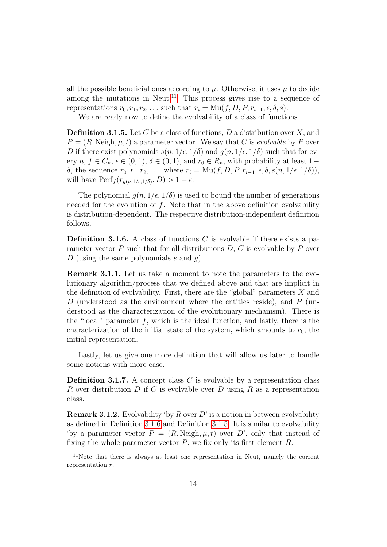all the possible beneficial ones according to  $\mu$ . Otherwise, it uses  $\mu$  to decide among the mutations in Neut.<sup>[11](#page-19-1)</sup> This process gives rise to a sequence of representations  $r_0, r_1, r_2, \ldots$  such that  $r_i = \mathrm{Mu}(f, D, P, r_{i-1}, \epsilon, \delta, s)$ .

We are ready now to define the evolvability of a class of functions.

<span id="page-19-0"></span>**Definition 3.1.5.** Let C be a class of functions, D a distribution over X, and  $P = (R, Neigh, \mu, t)$  a parameter vector. We say that C is *evolvable* by P over D if there exist polynomials  $s(n, 1/\epsilon, 1/\delta)$  and  $g(n, 1/\epsilon, 1/\delta)$  such that for every  $n, f \in C_n$ ,  $\epsilon \in (0, 1), \delta \in (0, 1)$ , and  $r_0 \in R_n$ , with probability at least 1– δ, the sequence  $r_0, r_1, r_2, \ldots$ , where  $r_i = \text{Mu}(f, D, P, r_{i-1}, \epsilon, \delta, s(n, 1/\epsilon, 1/\delta)),$ will have  $\text{Perf}_f(r_{g(n,1/\epsilon,1/\delta)}, D) > 1 - \epsilon$ .

The polynomial  $q(n, 1/\epsilon, 1/\delta)$  is used to bound the number of generations needed for the evolution of  $f$ . Note that in the above definition evolvability is distribution-dependent. The respective distribution-independent definition follows.

<span id="page-19-2"></span>**Definition 3.1.6.** A class of functions C is evolvable if there exists a parameter vector  $P$  such that for all distributions  $D, C$  is evolvable by  $P$  over D (using the same polynomials s and q).

Remark 3.1.1. Let us take a moment to note the parameters to the evolutionary algorithm/process that we defined above and that are implicit in the definition of evolvability. First, there are the "global" parameters  $X$  and D (understood as the environment where the entities reside), and  $P$  (understood as the characterization of the evolutionary mechanism). There is the "local" parameter  $f$ , which is the ideal function, and lastly, there is the characterization of the initial state of the system, which amounts to  $r_0$ , the initial representation.

Lastly, let us give one more definition that will allow us later to handle some notions with more ease.

**Definition 3.1.7.** A concept class C is evolvable by a representation class R over distribution D if C is evolvable over D using R as a representation class.

<span id="page-19-3"></span>**Remark 3.1.2.** Evolvability 'by R over  $D$ ' is a notion in between evolvability as defined in Definition [3.1.6](#page-19-2) and Definition [3.1.5.](#page-19-0) It is similar to evolvability 'by a parameter vector  $P = (R, Neigh, \mu, t)$  over D', only that instead of fixing the whole parameter vector  $P$ , we fix only its first element  $R$ .

<span id="page-19-1"></span><sup>11</sup>Note that there is always at least one representation in Neut, namely the current representation r.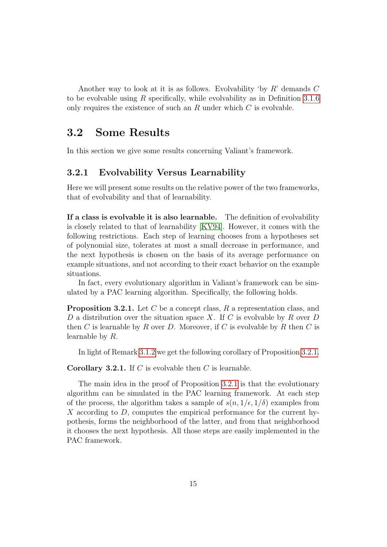Another way to look at it is as follows. Evolvability 'by  $R$ ' demands  $C$ to be evolvable using R specifically, while evolvability as in Definition [3.1.6](#page-19-2) only requires the existence of such an  $R$  under which  $C$  is evolvable.

### <span id="page-20-0"></span>3.2 Some Results

In this section we give some results concerning Valiant's framework.

### <span id="page-20-1"></span>3.2.1 Evolvability Versus Learnability

Here we will present some results on the relative power of the two frameworks, that of evolvability and that of learnability.

If a class is evolvable it is also learnable. The definition of evolvability is closely related to that of learnability [\[KV94\]](#page-69-7). However, it comes with the following restrictions. Each step of learning chooses from a hypotheses set of polynomial size, tolerates at most a small decrease in performance, and the next hypothesis is chosen on the basis of its average performance on example situations, and not according to their exact behavior on the example situations.

In fact, every evolutionary algorithm in Valiant's framework can be simulated by a PAC learning algorithm. Specifically, the following holds.

<span id="page-20-2"></span>**Proposition 3.2.1.** Let  $C$  be a concept class,  $R$  a representation class, and D a distribution over the situation space X. If C is evolvable by R over D then C is learnable by R over D. Moreover, if C is evolvable by R then C is learnable by R.

In light of Remark [3.1.2](#page-19-3) we get the following corollary of Proposition [3.2.1.](#page-20-2)

**Corollary 3.2.1.** If C is evolvable then C is learnable.

The main idea in the proof of Proposition [3.2.1](#page-20-2) is that the evolutionary algorithm can be simulated in the PAC learning framework. At each step of the process, the algorithm takes a sample of  $s(n, 1/\epsilon, 1/\delta)$  examples from  $X$  according to  $D$ , computes the empirical performance for the current hypothesis, forms the neighborhood of the latter, and from that neighborhood it chooses the next hypothesis. All those steps are easily implemented in the PAC framework.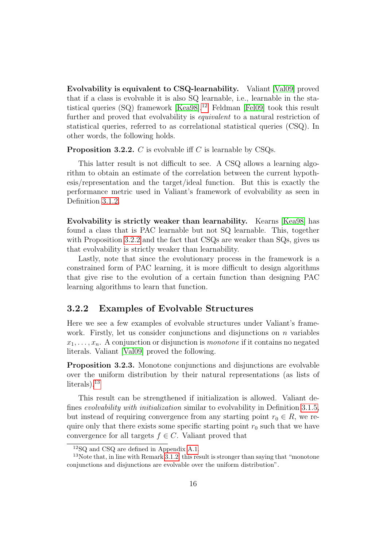Evolvability is equivalent to CSQ-learnability. Valiant [\[Val09\]](#page-69-0) proved that if a class is evolvable it is also SQ learnable, i.e., learnable in the statistical queries  $(SQ)$  framework  $[Kea98].^{12}$  $[Kea98].^{12}$  $[Kea98].^{12}$  $[Kea98].^{12}$  Feldman [\[Fel09\]](#page-68-8) took this result further and proved that evolvability is *equivalent* to a natural restriction of statistical queries, referred to as correlational statistical queries (CSQ). In other words, the following holds.

<span id="page-21-2"></span>**Proposition 3.2.2.** C is evolvable iff C is learnable by CSQs.

This latter result is not difficult to see. A CSQ allows a learning algorithm to obtain an estimate of the correlation between the current hypothesis/representation and the target/ideal function. But this is exactly the performance metric used in Valiant's framework of evolvability as seen in Definition [3.1.2.](#page-17-2)

Evolvability is strictly weaker than learnability. Kearns [\[Kea98\]](#page-69-8) has found a class that is PAC learnable but not SQ learnable. This, together with Proposition [3.2.2](#page-21-2) and the fact that CSQs are weaker than SQs, gives us that evolvability is strictly weaker than learnability.

Lastly, note that since the evolutionary process in the framework is a constrained form of PAC learning, it is more difficult to design algorithms that give rise to the evolution of a certain function than designing PAC learning algorithms to learn that function.

#### <span id="page-21-0"></span>3.2.2 Examples of Evolvable Structures

Here we see a few examples of evolvable structures under Valiant's framework. Firstly, let us consider conjunctions and disjunctions on  $n$  variables  $x_1, \ldots, x_n$ . A conjunction or disjunction is *monotone* if it contains no negated literals. Valiant [\[Val09\]](#page-69-0) proved the following.

Proposition 3.2.3. Monotone conjunctions and disjunctions are evolvable over the uniform distribution by their natural representations (as lists of literals).[13](#page-21-3)

This result can be strengthened if initialization is allowed. Valiant defines evolvability with initialization similar to evolvability in Definition [3.1.5,](#page-19-0) but instead of requiring convergence from any starting point  $r_0 \in R$ , we require only that there exists some specific starting point  $r_0$  such that we have convergence for all targets  $f \in C$ . Valiant proved that

<span id="page-21-3"></span><span id="page-21-1"></span><sup>12</sup>SQ and CSQ are defined in Appendix [A.1.](#page-63-1)

<sup>&</sup>lt;sup>13</sup>Note that, in line with Remark [3.1.2,](#page-19-3) this result is stronger than saying that "monotone" conjunctions and disjunctions are evolvable over the uniform distribution".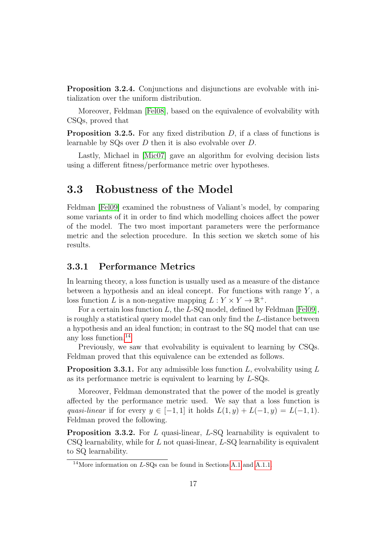Proposition 3.2.4. Conjunctions and disjunctions are evolvable with initialization over the uniform distribution.

Moreover, Feldman [\[Fel08\]](#page-68-9), based on the equivalence of evolvability with CSQs, proved that

**Proposition 3.2.5.** For any fixed distribution  $D$ , if a class of functions is learnable by SQs over D then it is also evolvable over D.

Lastly, Michael in [\[Mic07\]](#page-69-9) gave an algorithm for evolving decision lists using a different fitness/performance metric over hypotheses.

### <span id="page-22-0"></span>3.3 Robustness of the Model

Feldman [\[Fel09\]](#page-68-8) examined the robustness of Valiant's model, by comparing some variants of it in order to find which modelling choices affect the power of the model. The two most important parameters were the performance metric and the selection procedure. In this section we sketch some of his results.

### <span id="page-22-1"></span>3.3.1 Performance Metrics

In learning theory, a loss function is usually used as a measure of the distance between a hypothesis and an ideal concept. For functions with range  $Y$ , a loss function L is a non-negative mapping  $L: Y \times Y \to \mathbb{R}^+$ .

For a certain loss function L, the L-SQ model, defined by Feldman [\[Fel09\]](#page-68-8), is roughly a statistical query model that can only find the L-distance between a hypothesis and an ideal function; in contrast to the SQ model that can use any loss function.[14](#page-22-2)

Previously, we saw that evolvability is equivalent to learning by CSQs. Feldman proved that this equivalence can be extended as follows.

**Proposition 3.3.1.** For any admissible loss function  $L$ , evolvability using  $L$ as its performance metric is equivalent to learning by L-SQs.

Moreover, Feldman demonstrated that the power of the model is greatly affected by the performance metric used. We say that a loss function is quasi-linear if for every  $y \in [-1, 1]$  it holds  $L(1, y) + L(-1, y) = L(-1, 1)$ . Feldman proved the following.

**Proposition 3.3.2.** For L quasi-linear,  $L$ -SQ learnability is equivalent to  $\text{CSQ}$  learnability, while for L not quasi-linear, L-SQ learnability is equivalent to SQ learnability.

<span id="page-22-2"></span><sup>14</sup>More information on L-SQs can be found in Sections [A.1](#page-63-1) and [A.1.1.](#page-63-2)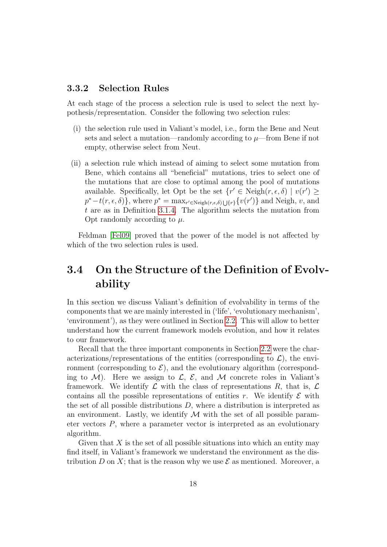#### <span id="page-23-0"></span>3.3.2 Selection Rules

At each stage of the process a selection rule is used to select the next hypothesis/representation. Consider the following two selection rules:

- (i) the selection rule used in Valiant's model, i.e., form the Bene and Neut sets and select a mutation—randomly according to  $\mu$ —from Bene if not empty, otherwise select from Neut.
- (ii) a selection rule which instead of aiming to select some mutation from Bene, which contains all "beneficial" mutations, tries to select one of the mutations that are close to optimal among the pool of mutations available. Specifically, let Opt be the set  $\{r' \in \text{Neigh}(r, \epsilon, \delta) \mid v(r') \geq 0\}$  $p^* - t(r, \epsilon, \delta)$ , where  $p^* = \max_{r' \in \text{Neigh}(r, \epsilon, \delta) \cup \{r\}} \{v(r')\}$  and Neigh, v, and t are as in Definition [3.1.4.](#page-18-1) The algorithm selects the mutation from Opt randomly according to  $\mu$ .

Feldman [\[Fel09\]](#page-68-8) proved that the power of the model is not affected by which of the two selection rules is used.

### <span id="page-23-1"></span>3.4 On the Structure of the Definition of Evolvability

In this section we discuss Valiant's definition of evolvability in terms of the components that we are mainly interested in ('life', 'evolutionary mechanism', 'environment'), as they were outlined in Section [2.2.](#page-13-0) This will allow to better understand how the current framework models evolution, and how it relates to our framework.

Recall that the three important components in Section [2.2](#page-13-0) were the characterizations/representations of the entities (corresponding to  $\mathcal{L}$ ), the environment (corresponding to  $\mathcal{E}$ ), and the evolutionary algorithm (corresponding to  $\mathcal{M}$ ). Here we assign to  $\mathcal{L}, \mathcal{E},$  and  $\mathcal{M}$  concrete roles in Valiant's framework. We identify  $\mathcal L$  with the class of representations  $R$ , that is,  $\mathcal L$ contains all the possible representations of entities r. We identify  $\mathcal E$  with the set of all possible distributions  $D$ , where a distribution is interpreted as an environment. Lastly, we identify  $M$  with the set of all possible parameter vectors P, where a parameter vector is interpreted as an evolutionary algorithm.

Given that  $X$  is the set of all possible situations into which an entity may find itself, in Valiant's framework we understand the environment as the distribution D on X; that is the reason why we use  $\mathcal E$  as mentioned. Moreover, a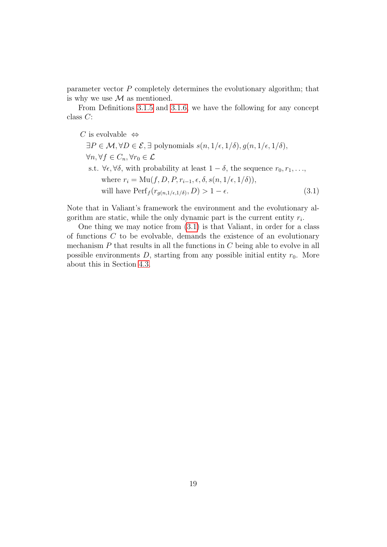parameter vector P completely determines the evolutionary algorithm; that is why we use  $\mathcal M$  as mentioned.

From Definitions [3.1.5](#page-19-0) and [3.1.6,](#page-19-2) we have the following for any concept class C:

C is evolvable  $\Leftrightarrow$ 

<span id="page-24-0"></span> $\exists P \in \mathcal{M}, \forall D \in \mathcal{E}, \exists$  polynomials  $s(n, 1/\epsilon, 1/\delta), q(n, 1/\epsilon, 1/\delta),$  $\forall n, \forall f \in C_n, \forall r_0 \in \mathcal{L}$ s.t.  $\forall \epsilon, \forall \delta$ , with probability at least  $1 - \delta$ , the sequence  $r_0, r_1, \ldots$ , where  $r_i = \text{Mu}(f, D, P, r_{i-1}, \epsilon, \delta, s(n, 1/\epsilon, 1/\delta)),$ will have  $\text{Perf}_f(r_{g(n,1/\epsilon,1/\delta)}, D) > 1 - \epsilon.$  (3.1)

Note that in Valiant's framework the environment and the evolutionary algorithm are static, while the only dynamic part is the current entity  $r_i$ .

One thing we may notice from [\(3.1\)](#page-24-0) is that Valiant, in order for a class of functions C to be evolvable, demands the existence of an evolutionary mechanism  $P$  that results in all the functions in  $C$  being able to evolve in all possible environments  $D$ , starting from any possible initial entity  $r_0$ . More about this in Section [4.3.](#page-27-0)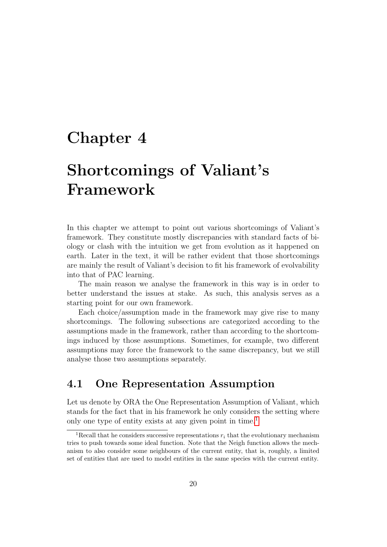### <span id="page-25-0"></span>Chapter 4

## Shortcomings of Valiant's Framework

In this chapter we attempt to point out various shortcomings of Valiant's framework. They constitute mostly discrepancies with standard facts of biology or clash with the intuition we get from evolution as it happened on earth. Later in the text, it will be rather evident that those shortcomings are mainly the result of Valiant's decision to fit his framework of evolvability into that of PAC learning.

The main reason we analyse the framework in this way is in order to better understand the issues at stake. As such, this analysis serves as a starting point for our own framework.

Each choice/assumption made in the framework may give rise to many shortcomings. The following subsections are categorized according to the assumptions made in the framework, rather than according to the shortcomings induced by those assumptions. Sometimes, for example, two different assumptions may force the framework to the same discrepancy, but we still analyse those two assumptions separately.

### <span id="page-25-1"></span>4.1 One Representation Assumption

Let us denote by ORA the One Representation Assumption of Valiant, which stands for the fact that in his framework he only considers the setting where only one type of entity exists at any given point in time.<sup>[1](#page-25-2)</sup>

<span id="page-25-2"></span><sup>&</sup>lt;sup>1</sup>Recall that he considers successive representations  $r_i$  that the evolutionary mechanism tries to push towards some ideal function. Note that the Neigh function allows the mechanism to also consider some neighbours of the current entity, that is, roughly, a limited set of entities that are used to model entities in the same species with the current entity.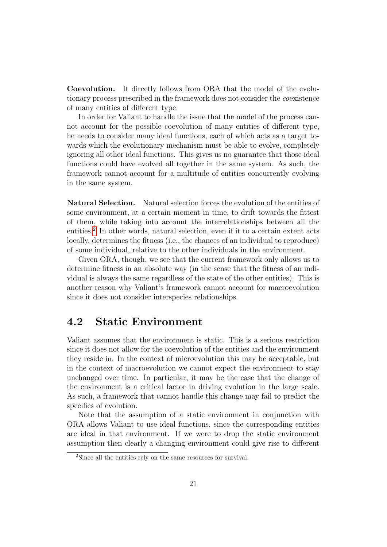Coevolution. It directly follows from ORA that the model of the evolutionary process prescribed in the framework does not consider the coexistence of many entities of different type.

In order for Valiant to handle the issue that the model of the process cannot account for the possible coevolution of many entities of different type, he needs to consider many ideal functions, each of which acts as a target towards which the evolutionary mechanism must be able to evolve, completely ignoring all other ideal functions. This gives us no guarantee that those ideal functions could have evolved all together in the same system. As such, the framework cannot account for a multitude of entities concurrently evolving in the same system.

Natural Selection. Natural selection forces the evolution of the entities of some environment, at a certain moment in time, to drift towards the fittest of them, while taking into account the interrelationships between all the entities.<sup>[2](#page-26-1)</sup> In other words, natural selection, even if it to a certain extent acts locally, determines the fitness (i.e., the chances of an individual to reproduce) of some individual, relative to the other individuals in the environment.

Given ORA, though, we see that the current framework only allows us to determine fitness in an absolute way (in the sense that the fitness of an individual is always the same regardless of the state of the other entities). This is another reason why Valiant's framework cannot account for macroevolution since it does not consider interspecies relationships.

### <span id="page-26-0"></span>4.2 Static Environment

Valiant assumes that the environment is static. This is a serious restriction since it does not allow for the coevolution of the entities and the environment they reside in. In the context of microevolution this may be acceptable, but in the context of macroevolution we cannot expect the environment to stay unchanged over time. In particular, it may be the case that the change of the environment is a critical factor in driving evolution in the large scale. As such, a framework that cannot handle this change may fail to predict the specifics of evolution.

Note that the assumption of a static environment in conjunction with ORA allows Valiant to use ideal functions, since the corresponding entities are ideal in that environment. If we were to drop the static environment assumption then clearly a changing environment could give rise to different

<span id="page-26-1"></span><sup>2</sup>Since all the entities rely on the same resources for survival.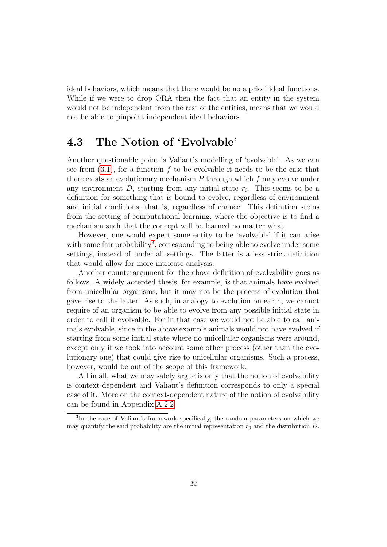ideal behaviors, which means that there would be no a priori ideal functions. While if we were to drop ORA then the fact that an entity in the system would not be independent from the rest of the entities, means that we would not be able to pinpoint independent ideal behaviors.

### <span id="page-27-0"></span>4.3 The Notion of 'Evolvable'

Another questionable point is Valiant's modelling of 'evolvable'. As we can see from  $(3.1)$ , for a function f to be evolvable it needs to be the case that there exists an evolutionary mechanism  $P$  through which  $f$  may evolve under any environment  $D$ , starting from any initial state  $r_0$ . This seems to be a definition for something that is bound to evolve, regardless of environment and initial conditions, that is, regardless of chance. This definition stems from the setting of computational learning, where the objective is to find a mechanism such that the concept will be learned no matter what.

However, one would expect some entity to be 'evolvable' if it can arise with some fair probability<sup>[3](#page-27-1)</sup>, corresponding to being able to evolve under some settings, instead of under all settings. The latter is a less strict definition that would allow for more intricate analysis.

Another counterargument for the above definition of evolvability goes as follows. A widely accepted thesis, for example, is that animals have evolved from unicellular organisms, but it may not be the process of evolution that gave rise to the latter. As such, in analogy to evolution on earth, we cannot require of an organism to be able to evolve from any possible initial state in order to call it evolvable. For in that case we would not be able to call animals evolvable, since in the above example animals would not have evolved if starting from some initial state where no unicellular organisms were around, except only if we took into account some other process (other than the evolutionary one) that could give rise to unicellular organisms. Such a process, however, would be out of the scope of this framework.

All in all, what we may safely argue is only that the notion of evolvability is context-dependent and Valiant's definition corresponds to only a special case of it. More on the context-dependent nature of the notion of evolvability can be found in Appendix [A.2.2.](#page-65-0)

<span id="page-27-1"></span><sup>3</sup> In the case of Valiant's framework specifically, the random parameters on which we may quantify the said probability are the initial representation  $r_0$  and the distribution D.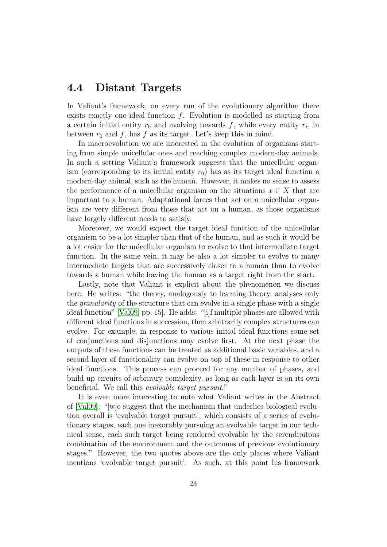### <span id="page-28-0"></span>4.4 Distant Targets

In Valiant's framework, on every run of the evolutionary algorithm there exists exactly one ideal function  $f$ . Evolution is modelled as starting from a certain initial entity  $r_0$  and evolving towards f, while every entity  $r_i$ , in between  $r_0$  and f, has f as its target. Let's keep this in mind.

In macroevolution we are interested in the evolution of organisms starting from simple unicellular ones and reaching complex modern-day animals. In such a setting Valiant's framework suggests that the unicellular organism (corresponding to its initial entity  $r_0$ ) has as its target ideal function a modern-day animal, such as the human. However, it makes no sense to assess the performance of a unicellular organism on the situations  $x \in X$  that are important to a human. Adaptational forces that act on a unicellular organism are very different from those that act on a human, as those organisms have largely different needs to satisfy.

Moreover, we would expect the target ideal function of the unicellular organism to be a lot simpler than that of the human, and as such it would be a lot easier for the unicellular organism to evolve to that intermediate target function. In the same vein, it may be also a lot simpler to evolve to many intermediate targets that are successively closer to a human than to evolve towards a human while having the human as a target right from the start.

Lastly, note that Valiant is explicit about the phenomenon we discuss here. He writes: "the theory, analogously to learning theory, analyses only the granularity of the structure that can evolve in a single phase with a single ideal function" [\[Val09,](#page-69-0) pp. 15]. He adds: "[i]f multiple phases are allowed with different ideal functions in succession, then arbitrarily complex structures can evolve. For example, in response to various initial ideal functions some set of conjunctions and disjunctions may evolve first. At the next phase the outputs of these functions can be treated as additional basic variables, and a second layer of functionality can evolve on top of these in response to other ideal functions. This process can proceed for any number of phases, and build up circuits of arbitrary complexity, as long as each layer is on its own beneficial. We call this evolvable target pursuit."

It is even more interesting to note what Valiant writes in the Abstract of [\[Val09\]](#page-69-0): "[w]e suggest that the mechanism that underlies biological evolution overall is 'evolvable target pursuit', which consists of a series of evolutionary stages, each one inexorably pursuing an evolvable target in our technical sense, each such target being rendered evolvable by the serendipitous combination of the environment and the outcomes of previous evolutionary stages." However, the two quotes above are the only places where Valiant mentions 'evolvable target pursuit'. As such, at this point his framework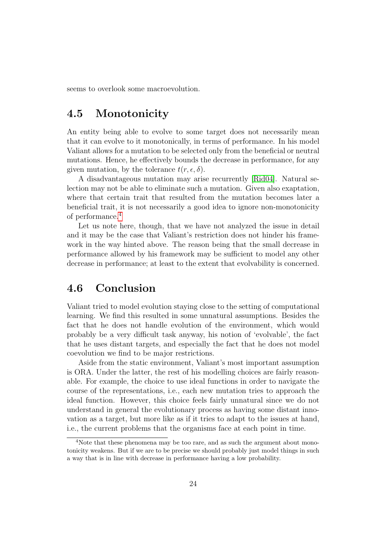seems to overlook some macroevolution.

### <span id="page-29-0"></span>4.5 Monotonicity

An entity being able to evolve to some target does not necessarily mean that it can evolve to it monotonically, in terms of performance. In his model Valiant allows for a mutation to be selected only from the beneficial or neutral mutations. Hence, he effectively bounds the decrease in performance, for any given mutation, by the tolerance  $t(r, \epsilon, \delta)$ .

A disadvantageous mutation may arise recurrently [\[Rid04\]](#page-69-5). Natural selection may not be able to eliminate such a mutation. Given also exaptation, where that certain trait that resulted from the mutation becomes later a beneficial trait, it is not necessarily a good idea to ignore non-monotonicity of performance.<sup>[4](#page-29-2)</sup>

Let us note here, though, that we have not analyzed the issue in detail and it may be the case that Valiant's restriction does not hinder his framework in the way hinted above. The reason being that the small decrease in performance allowed by his framework may be sufficient to model any other decrease in performance; at least to the extent that evolvability is concerned.

### <span id="page-29-1"></span>4.6 Conclusion

Valiant tried to model evolution staying close to the setting of computational learning. We find this resulted in some unnatural assumptions. Besides the fact that he does not handle evolution of the environment, which would probably be a very difficult task anyway, his notion of 'evolvable', the fact that he uses distant targets, and especially the fact that he does not model coevolution we find to be major restrictions.

Aside from the static environment, Valiant's most important assumption is ORA. Under the latter, the rest of his modelling choices are fairly reasonable. For example, the choice to use ideal functions in order to navigate the course of the representations, i.e., each new mutation tries to approach the ideal function. However, this choice feels fairly unnatural since we do not understand in general the evolutionary process as having some distant innovation as a target, but more like as if it tries to adapt to the issues at hand, i.e., the current problems that the organisms face at each point in time.

<span id="page-29-2"></span><sup>&</sup>lt;sup>4</sup>Note that these phenomena may be too rare, and as such the argument about monotonicity weakens. But if we are to be precise we should probably just model things in such a way that is in line with decrease in performance having a low probability.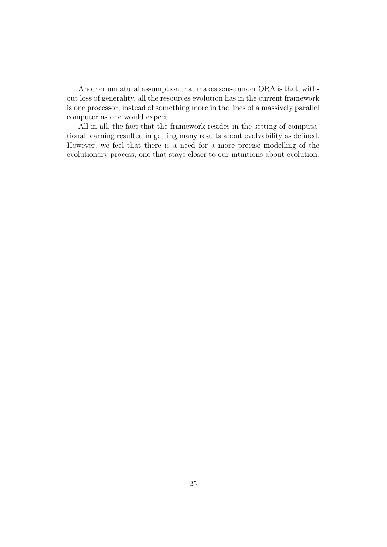Another unnatural assumption that makes sense under ORA is that, without loss of generality, all the resources evolution has in the current framework is one processor, instead of something more in the lines of a massively parallel computer as one would expect.

All in all, the fact that the framework resides in the setting of computational learning resulted in getting many results about evolvability as defined. However, we feel that there is a need for a more precise modelling of the evolutionary process, one that stays closer to our intuitions about evolution.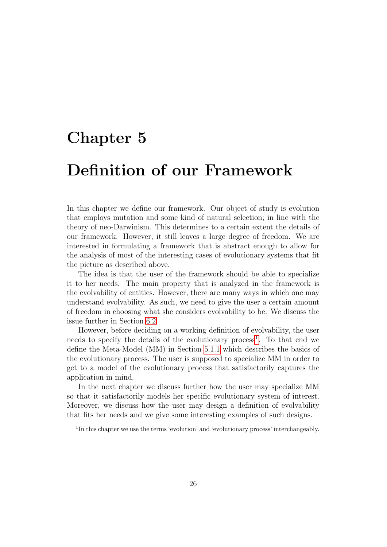### <span id="page-31-0"></span>Chapter 5

### Definition of our Framework

In this chapter we define our framework. Our object of study is evolution that employs mutation and some kind of natural selection; in line with the theory of neo-Darwinism. This determines to a certain extent the details of our framework. However, it still leaves a large degree of freedom. We are interested in formulating a framework that is abstract enough to allow for the analysis of most of the interesting cases of evolutionary systems that fit the picture as described above.

The idea is that the user of the framework should be able to specialize it to her needs. The main property that is analyzed in the framework is the evolvability of entities. However, there are many ways in which one may understand evolvability. As such, we need to give the user a certain amount of freedom in choosing what she considers evolvability to be. We discuss the issue further in Section [6.2.](#page-39-0)

However, before deciding on a working definition of evolvability, the user needs to specify the details of the evolutionary process<sup>[1](#page-31-1)</sup>. To that end we define the Meta-Model (MM) in Section [5.1.1](#page-32-1) which describes the basics of the evolutionary process. The user is supposed to specialize MM in order to get to a model of the evolutionary process that satisfactorily captures the application in mind.

In the next chapter we discuss further how the user may specialize MM so that it satisfactorily models her specific evolutionary system of interest. Moreover, we discuss how the user may design a definition of evolvability that fits her needs and we give some interesting examples of such designs.

<span id="page-31-1"></span><sup>&</sup>lt;sup>1</sup>In this chapter we use the terms 'evolution' and 'evolutionary process' interchangeably.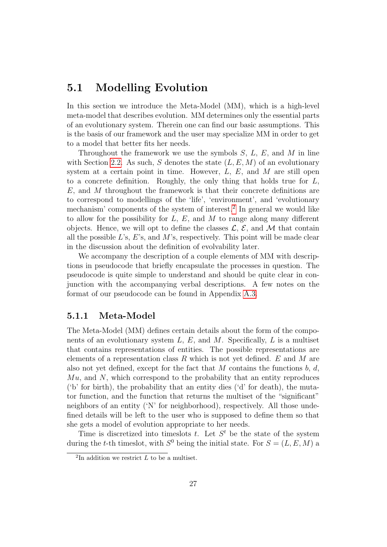### <span id="page-32-0"></span>5.1 Modelling Evolution

In this section we introduce the Meta-Model (MM), which is a high-level meta-model that describes evolution. MM determines only the essential parts of an evolutionary system. Therein one can find our basic assumptions. This is the basis of our framework and the user may specialize MM in order to get to a model that better fits her needs.

Throughout the framework we use the symbols  $S, L, E$ , and M in line with Section [2.2.](#page-13-0) As such, S denotes the state  $(L, E, M)$  of an evolutionary system at a certain point in time. However,  $L, E$ , and M are still open to a concrete definition. Roughly, the only thing that holds true for  $L$ ,  $E$ , and  $M$  throughout the framework is that their concrete definitions are to correspond to modellings of the 'life', 'environment', and 'evolutionary mechanism' components of the system of interest.<sup>[2](#page-32-2)</sup> In general we would like to allow for the possibility for  $L, E$ , and  $M$  to range along many different objects. Hence, we will opt to define the classes  $\mathcal{L}, \mathcal{E}$ , and M that contain all the possible  $L$ 's,  $E$ 's, and  $M$ 's, respectively. This point will be made clear in the discussion about the definition of evolvability later.

We accompany the description of a couple elements of MM with descriptions in pseudocode that briefly encapsulate the processes in question. The pseudocode is quite simple to understand and should be quite clear in conjunction with the accompanying verbal descriptions. A few notes on the format of our pseudocode can be found in Appendix [A.3.](#page-66-0)

### <span id="page-32-1"></span>5.1.1 Meta-Model

The Meta-Model (MM) defines certain details about the form of the components of an evolutionary system  $L, E$ , and  $M$ . Specifically,  $L$  is a multiset that contains representations of entities. The possible representations are elements of a representation class R which is not yet defined. E and M are also not yet defined, except for the fact that  $M$  contains the functions  $b, d$ ,  $Mu$ , and  $N$ , which correspond to the probability that an entity reproduces ('b' for birth), the probability that an entity dies ('d' for death), the mutator function, and the function that returns the multiset of the "significant" neighbors of an entity ('N' for neighborhood), respectively. All those undefined details will be left to the user who is supposed to define them so that she gets a model of evolution appropriate to her needs.

Time is discretized into timeslots t. Let  $S<sup>t</sup>$  be the state of the system during the *t*-th timeslot, with  $S^0$  being the initial state. For  $S = (L, E, M)$  a

<span id="page-32-2"></span><sup>&</sup>lt;sup>2</sup>In addition we restrict  $L$  to be a multiset.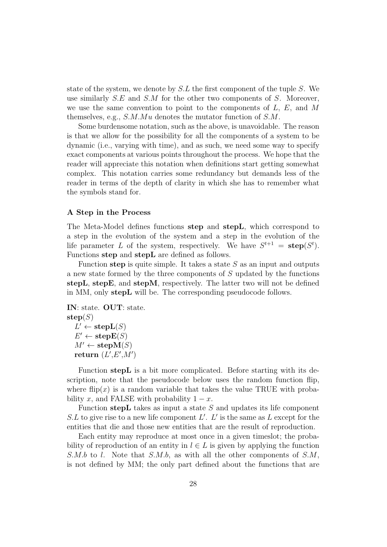state of the system, we denote by  $S.L$  the first component of the tuple S. We use similarly  $S.E$  and  $S.M$  for the other two components of S. Moreover, we use the same convention to point to the components of  $L, E$ , and M themselves, e.g.,  $S.M.Mu$  denotes the mutator function of  $S.M$ .

Some burdensome notation, such as the above, is unavoidable. The reason is that we allow for the possibility for all the components of a system to be dynamic (i.e., varying with time), and as such, we need some way to specify exact components at various points throughout the process. We hope that the reader will appreciate this notation when definitions start getting somewhat complex. This notation carries some redundancy but demands less of the reader in terms of the depth of clarity in which she has to remember what the symbols stand for.

#### A Step in the Process

<span id="page-33-0"></span>The Meta-Model defines functions step and stepL, which correspond to a step in the evolution of the system and a step in the evolution of the life parameter L of the system, respectively. We have  $S^{t+1} = \mathbf{step}(S^t)$ . Functions step and stepL are defined as follows.

Function step is quite simple. It takes a state  $S$  as an input and outputs a new state formed by the three components of S updated by the functions stepL, stepE, and stepM, respectively. The latter two will not be defined in MM, only stepL will be. The corresponding pseudocode follows.

IN: state. OUT: state.  $step(S)$  $L' \leftarrow \mathbf{stepL}(S)$  $E' \leftarrow \mathbf{stepE}(S)$  $M' \leftarrow \mathbf{stepM}(S)$ return  $(L', E', M')$ 

Function stepL is a bit more complicated. Before starting with its description, note that the pseudocode below uses the random function flip, where flip(x) is a random variable that takes the value TRUE with probability x, and FALSE with probability  $1 - x$ .

Function step L takes as input a state  $S$  and updates its life component  $S.L$  to give rise to a new life component  $L'. L'$  is the same as  $L$  except for the entities that die and those new entities that are the result of reproduction.

Each entity may reproduce at most once in a given timeslot; the probability of reproduction of an entity in  $l \in L$  is given by applying the function S.M.b to l. Note that S.M.b, as with all the other components of  $S.M$ , is not defined by MM; the only part defined about the functions that are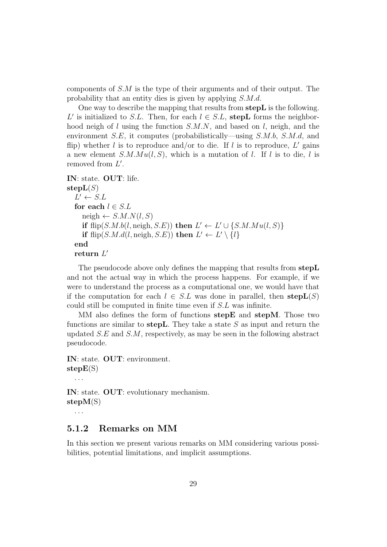components of  $S.M$  is the type of their arguments and of their output. The probability that an entity dies is given by applying S.M.d.

One way to describe the mapping that results from stepL is the following. L' is initialized to S.L. Then, for each  $l \in S.L$ , stepL forms the neighborhood neigh of  $l$  using the function  $S.M.N$ , and based on  $l$ , neigh, and the environment S.E, it computes (probabilistically—using S.M.b, S.M.d, and flip) whether l is to reproduce and/or to die. If l is to reproduce,  $L'$  gains a new element  $S.M.Mu(l, S)$ , which is a mutation of l. If l is to die, l is removed from  $L'$ .

```
IN: state. OUT: life.
stepL(S)L' \leftarrow S.Lfor each l \in S.Lneigh \leftarrow S.M.N(l, S)if flip(S.M.b(l, neigh, S.E)) then L' \leftarrow L' \cup \{S.M.Mu(l, S)\}if flip(S.M.d(l, neigh, S.E)) then L' \leftarrow L' \setminus \{l\}end
   return L'
```
The pseudocode above only defines the mapping that results from stepL and not the actual way in which the process happens. For example, if we were to understand the process as a computational one, we would have that if the computation for each  $l \in S.L$  was done in parallel, then  $\mathbf{stepL}(S)$ could still be computed in finite time even if S.L was infinite.

MM also defines the form of functions step E and step M. Those two functions are similar to step L. They take a state  $S$  as input and return the updated  $S.E$  and  $S.M$ , respectively, as may be seen in the following abstract pseudocode.

IN: state. OUT: environment.  $stepE(S)$ . . .

IN: state. OUT: evolutionary mechanism. stepM(S)

. . .

### <span id="page-34-0"></span>5.1.2 Remarks on MM

In this section we present various remarks on MM considering various possibilities, potential limitations, and implicit assumptions.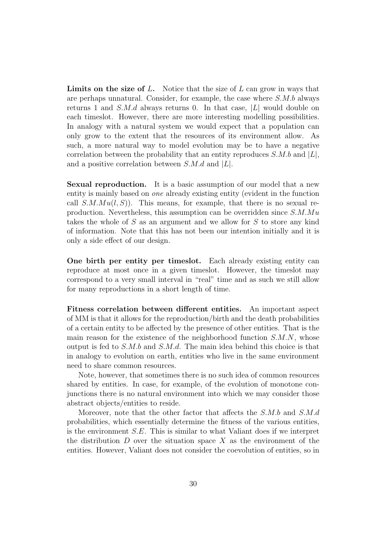**Limits on the size of L.** Notice that the size of L can grow in ways that are perhaps unnatural. Consider, for example, the case where S.M.b always returns 1 and  $S.M.d$  always returns 0. In that case,  $|L|$  would double on each timeslot. However, there are more interesting modelling possibilities. In analogy with a natural system we would expect that a population can only grow to the extent that the resources of its environment allow. As such, a more natural way to model evolution may be to have a negative correlation between the probability that an entity reproduces  $S.M.b$  and  $|L|$ , and a positive correlation between  $S.M.d$  and  $|L|$ .

Sexual reproduction. It is a basic assumption of our model that a new entity is mainly based on one already existing entity (evident in the function call  $S.M.Mu(l, S)$ . This means, for example, that there is no sexual reproduction. Nevertheless, this assumption can be overridden since  $S.M.Mu$ takes the whole of S as an argument and we allow for S to store any kind of information. Note that this has not been our intention initially and it is only a side effect of our design.

One birth per entity per timeslot. Each already existing entity can reproduce at most once in a given timeslot. However, the timeslot may correspond to a very small interval in "real" time and as such we still allow for many reproductions in a short length of time.

Fitness correlation between different entities. An important aspect of MM is that it allows for the reproduction/birth and the death probabilities of a certain entity to be affected by the presence of other entities. That is the main reason for the existence of the neighborhood function  $S.M.N$ , whose output is fed to  $S.M.b$  and  $S.M.d.$  The main idea behind this choice is that in analogy to evolution on earth, entities who live in the same environment need to share common resources.

Note, however, that sometimes there is no such idea of common resources shared by entities. In case, for example, of the evolution of monotone conjunctions there is no natural environment into which we may consider those abstract objects/entities to reside.

Moreover, note that the other factor that affects the S.M.b and S.M.d probabilities, which essentially determine the fitness of the various entities, is the environment S.E. This is similar to what Valiant does if we interpret the distribution  $D$  over the situation space  $X$  as the environment of the entities. However, Valiant does not consider the coevolution of entities, so in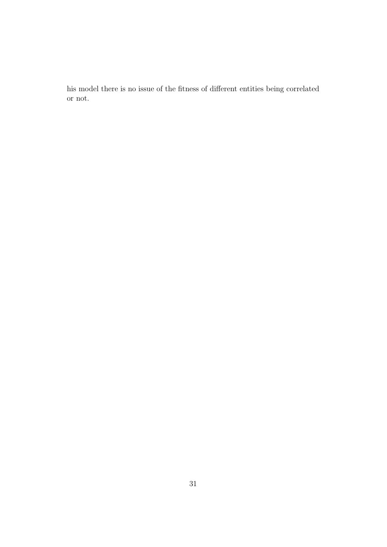his model there is no issue of the fitness of different entities being correlated or not.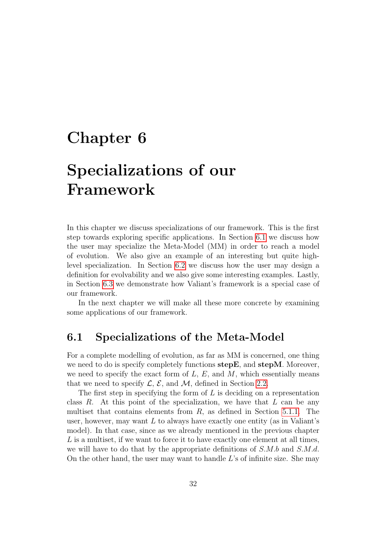### <span id="page-37-0"></span>Chapter 6

### Specializations of our Framework

In this chapter we discuss specializations of our framework. This is the first step towards exploring specific applications. In Section [6.1](#page-37-1) we discuss how the user may specialize the Meta-Model (MM) in order to reach a model of evolution. We also give an example of an interesting but quite highlevel specialization. In Section [6.2](#page-39-0) we discuss how the user may design a definition for evolvability and we also give some interesting examples. Lastly, in Section [6.3](#page-44-0) we demonstrate how Valiant's framework is a special case of our framework.

In the next chapter we will make all these more concrete by examining some applications of our framework.

### <span id="page-37-1"></span>6.1 Specializations of the Meta-Model

For a complete modelling of evolution, as far as MM is concerned, one thing we need to do is specify completely functions stepE, and stepM. Moreover, we need to specify the exact form of  $L, E$ , and  $M$ , which essentially means that we need to specify  $\mathcal{L}, \mathcal{E}$ , and  $\mathcal{M}$ , defined in Section [2.2.](#page-13-0)

The first step in specifying the form of  $L$  is deciding on a representation class  $R$ . At this point of the specialization, we have that  $L$  can be any multiset that contains elements from  $R$ , as defined in Section [5.1.1.](#page-32-1) The user, however, may want  $L$  to always have exactly one entity (as in Valiant's model). In that case, since as we already mentioned in the previous chapter L is a multiset, if we want to force it to have exactly one element at all times, we will have to do that by the appropriate definitions of S.M.b and S.M.d. On the other hand, the user may want to handle  $L$ 's of infinite size. She may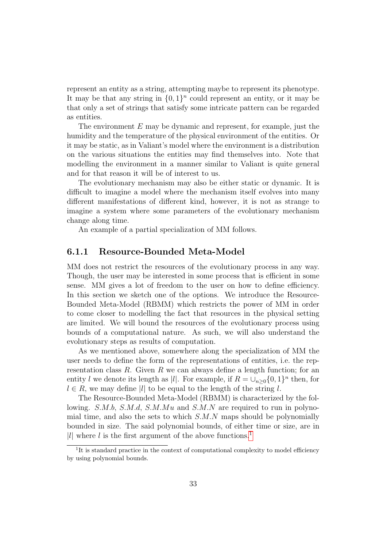represent an entity as a string, attempting maybe to represent its phenotype. It may be that any string in  $\{0,1\}^n$  could represent an entity, or it may be that only a set of strings that satisfy some intricate pattern can be regarded as entities.

The environment  $E$  may be dynamic and represent, for example, just the humidity and the temperature of the physical environment of the entities. Or it may be static, as in Valiant's model where the environment is a distribution on the various situations the entities may find themselves into. Note that modelling the environment in a manner similar to Valiant is quite general and for that reason it will be of interest to us.

The evolutionary mechanism may also be either static or dynamic. It is difficult to imagine a model where the mechanism itself evolves into many different manifestations of different kind, however, it is not as strange to imagine a system where some parameters of the evolutionary mechanism change along time.

An example of a partial specialization of MM follows.

### <span id="page-38-0"></span>6.1.1 Resource-Bounded Meta-Model

MM does not restrict the resources of the evolutionary process in any way. Though, the user may be interested in some process that is efficient in some sense. MM gives a lot of freedom to the user on how to define efficiency. In this section we sketch one of the options. We introduce the Resource-Bounded Meta-Model (RBMM) which restricts the power of MM in order to come closer to modelling the fact that resources in the physical setting are limited. We will bound the resources of the evolutionary process using bounds of a computational nature. As such, we will also understand the evolutionary steps as results of computation.

As we mentioned above, somewhere along the specialization of MM the user needs to define the form of the representations of entities, i.e. the representation class R. Given R we can always define a length function; for an entity l we denote its length as |l|. For example, if  $R = \bigcup_{n \geq 0} \{0, 1\}^n$  then, for  $l \in R$ , we may define |l| to be equal to the length of the string l.

The Resource-Bounded Meta-Model (RBMM) is characterized by the following. S.M.b, S.M.d, S.M.Mu and S.M.N are required to run in polynomial time, and also the sets to which  $S.M.N$  maps should be polynomially bounded in size. The said polynomial bounds, of either time or size, are in |l| where l is the first argument of the above functions.<sup>[1](#page-38-1)</sup>

<span id="page-38-1"></span><sup>&</sup>lt;sup>1</sup>It is standard practice in the context of computational complexity to model efficiency by using polynomial bounds.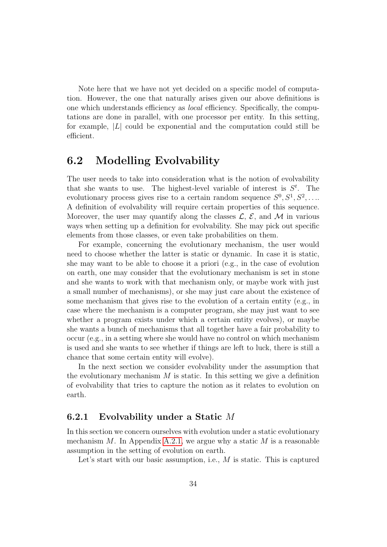Note here that we have not yet decided on a specific model of computation. However, the one that naturally arises given our above definitions is one which understands efficiency as local efficiency. Specifically, the computations are done in parallel, with one processor per entity. In this setting, for example,  $|L|$  could be exponential and the computation could still be efficient.

### <span id="page-39-0"></span>6.2 Modelling Evolvability

The user needs to take into consideration what is the notion of evolvability that she wants to use. The highest-level variable of interest is  $S<sup>t</sup>$ . The evolutionary process gives rise to a certain random sequence  $S^0, S^1, S^2, \ldots$ A definition of evolvability will require certain properties of this sequence. Moreover, the user may quantify along the classes  $\mathcal{L}, \mathcal{E}$ , and M in various ways when setting up a definition for evolvability. She may pick out specific elements from those classes, or even take probabilities on them.

For example, concerning the evolutionary mechanism, the user would need to choose whether the latter is static or dynamic. In case it is static, she may want to be able to choose it a priori (e.g., in the case of evolution on earth, one may consider that the evolutionary mechanism is set in stone and she wants to work with that mechanism only, or maybe work with just a small number of mechanisms), or she may just care about the existence of some mechanism that gives rise to the evolution of a certain entity (e.g., in case where the mechanism is a computer program, she may just want to see whether a program exists under which a certain entity evolves), or maybe she wants a bunch of mechanisms that all together have a fair probability to occur (e.g., in a setting where she would have no control on which mechanism is used and she wants to see whether if things are left to luck, there is still a chance that some certain entity will evolve).

In the next section we consider evolvability under the assumption that the evolutionary mechanism  $M$  is static. In this setting we give a definition of evolvability that tries to capture the notion as it relates to evolution on earth.

### <span id="page-39-1"></span>6.2.1 Evolvability under a Static M

In this section we concern ourselves with evolution under a static evolutionary mechanism M. In Appendix [A.2.1,](#page-64-1) we argue why a static M is a reasonable assumption in the setting of evolution on earth.

Let's start with our basic assumption, i.e.,  $M$  is static. This is captured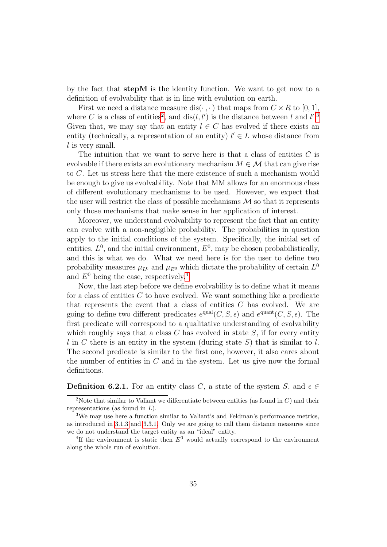by the fact that stepM is the identity function. We want to get now to a definition of evolvability that is in line with evolution on earth.

First we need a distance measure dis( $\cdot$ , $\cdot$ ) that maps from  $C \times R$  to [0, 1], where C is a class of entities<sup>[2](#page-40-0)</sup>, and  $dis(l, l')$  is the distance between l and l'.<sup>[3](#page-40-1)</sup> Given that, we may say that an entity  $l \in C$  has evolved if there exists an entity (technically, a representation of an entity)  $l' \in L$  whose distance from  $l$  is very small.

The intuition that we want to serve here is that a class of entities  $C$  is evolvable if there exists an evolutionary mechanism  $M \in \mathcal{M}$  that can give rise to C. Let us stress here that the mere existence of such a mechanism would be enough to give us evolvability. Note that MM allows for an enormous class of different evolutionary mechanisms to be used. However, we expect that the user will restrict the class of possible mechanisms  $\mathcal M$  so that it represents only those mechanisms that make sense in her application of interest.

Moreover, we understand evolvability to represent the fact that an entity can evolve with a non-negligible probability. The probabilities in question apply to the initial conditions of the system. Specifically, the initial set of entities,  $L^0$ , and the initial environment,  $E^0$ , may be chosen probabilistically, and this is what we do. What we need here is for the user to define two probability measures  $\mu_{L^0}$  and  $\mu_{E^0}$  which dictate the probability of certain  $L^0$ and  $E^0$  being the case, respectively.<sup>[4](#page-40-2)</sup>

Now, the last step before we define evolvability is to define what it means for a class of entities  $C$  to have evolved. We want something like a predicate that represents the event that a class of entities  $C$  has evolved. We are going to define two different predicates  $e^{\text{qual}}(C, S, \epsilon)$  and  $e^{\text{quant}}(C, S, \epsilon)$ . The first predicate will correspond to a qualitative understanding of evolvability which roughly says that a class  $C$  has evolved in state  $S$ , if for every entity l in C there is an entity in the system (during state S) that is similar to l. The second predicate is similar to the first one, however, it also cares about the number of entities in  $C$  and in the system. Let us give now the formal definitions.

**Definition 6.2.1.** For an entity class C, a state of the system S, and  $\epsilon \in$ 

<span id="page-40-0"></span><sup>&</sup>lt;sup>2</sup>Note that similar to Valiant we differentiate between entities (as found in  $C$ ) and their representations (as found in  $L$ ).

<span id="page-40-1"></span><sup>3</sup>We may use here a function similar to Valiant's and Feldman's performance metrics, as introduced in [3.1.3](#page-16-0) and [3.3.1.](#page-22-1) Only we are going to call them distance measures since we do not understand the target entity as an "ideal" entity.

<span id="page-40-2"></span><sup>&</sup>lt;sup>4</sup>If the environment is static then  $E^0$  would actually correspond to the environment along the whole run of evolution.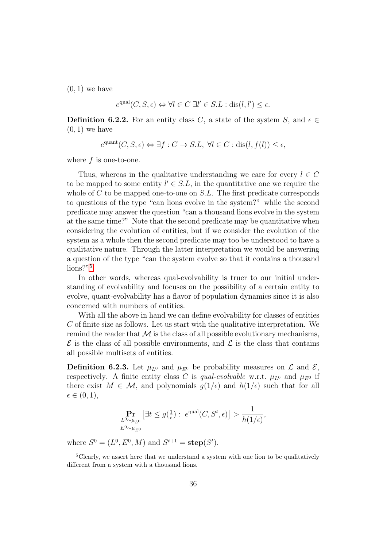$(0, 1)$  we have

$$
e^{\text{qual}}(C, S, \epsilon) \Leftrightarrow \forall l \in C \ \exists l' \in S.L : \text{dis}(l, l') \le \epsilon.
$$

**Definition 6.2.2.** For an entity class C, a state of the system S, and  $\epsilon \in$  $(0, 1)$  we have

 $e^{\text{quant}}(C, S, \epsilon) \Leftrightarrow \exists f : C \to S.L, \ \forall l \in C : \text{dis}(l, f(l)) \leq \epsilon,$ 

where  $f$  is one-to-one.

Thus, whereas in the qualitative understanding we care for every  $l \in C$ to be mapped to some entity  $l' \in S.L$ , in the quantitative one we require the whole of C to be mapped one-to-one on  $S.L$ . The first predicate corresponds to questions of the type "can lions evolve in the system?" while the second predicate may answer the question "can a thousand lions evolve in the system at the same time?" Note that the second predicate may be quantitative when considering the evolution of entities, but if we consider the evolution of the system as a whole then the second predicate may too be understood to have a qualitative nature. Through the latter interpretation we would be answering a question of the type "can the system evolve so that it contains a thousand lions?"[5](#page-41-0)

In other words, whereas qual-evolvability is truer to our initial understanding of evolvability and focuses on the possibility of a certain entity to evolve, quant-evolvability has a flavor of population dynamics since it is also concerned with numbers of entities.

With all the above in hand we can define evolvability for classes of entities C of finite size as follows. Let us start with the qualitative interpretation. We remind the reader that  $\mathcal M$  is the class of all possible evolutionary mechanisms,  $\mathcal E$  is the class of all possible environments, and  $\mathcal L$  is the class that contains all possible multisets of entities.

<span id="page-41-1"></span>**Definition 6.2.3.** Let  $\mu_{L^0}$  and  $\mu_{E^0}$  be probability measures on  $\mathcal L$  and  $\mathcal E$ , respectively. A finite entity class C is qual-evolvable w.r.t.  $\mu_{L^0}$  and  $\mu_{E^0}$  if there exist  $M \in \mathcal{M}$ , and polynomials  $g(1/\epsilon)$  and  $h(1/\epsilon)$  such that for all  $\epsilon \in (0,1),$ 

$$
\Pr_{L^0 \sim \mu_{L^0}} \left[ \exists t \le g(\frac{1}{\epsilon}) : e^{\text{qual}}(C, S^t, \epsilon) \right] > \frac{1}{h(1/\epsilon)},
$$
  

$$
E^0 \sim \mu_{E^0}
$$

where  $S^0 = (L^0, E^0, M)$  and  $S^{t+1} = \text{step}(S^t)$ .

<span id="page-41-0"></span><sup>5</sup>Clearly, we assert here that we understand a system with one lion to be qualitatively different from a system with a thousand lions.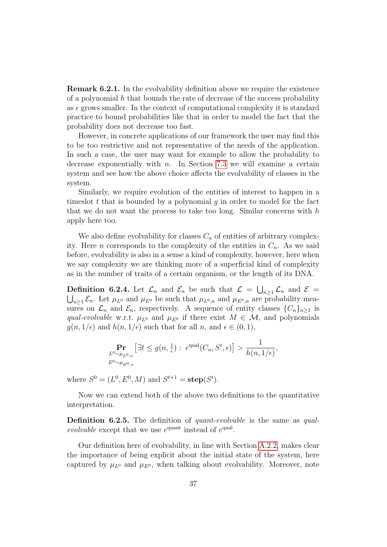Remark 6.2.1. In the evolvability definition above we require the existence of a polynomial  $h$  that bounds the rate of decrease of the success probability as  $\epsilon$  grows smaller. In the context of computational complexity it is standard practice to bound probabilities like that in order to model the fact that the probability does not decrease too fast.

However, in concrete applications of our framework the user may find this to be too restrictive and not representative of the needs of the application. In such a case, the user may want for example to allow the probability to decrease exponentially with  $n$ . In Section [7.3](#page-54-0) we will examine a certain system and see how the above choice affects the evolvability of classes in the system.

Similarly, we require evolution of the entities of interest to happen in a times that is bounded by a polynomial q in order to model for the fact that we do not want the process to take too long. Similar concerns with  $h$ apply here too.

We also define evolvability for classes  $C_n$  of entities of arbitrary complexity. Here *n* corresponds to the complexity of the entities in  $C_n$ . As we said before, evolvability is also in a sense a kind of complexity, however, here when we say complexity we are thinking more of a superficial kind of complexity as in the number of traits of a certain organism, or the length of its DNA.

<span id="page-42-0"></span>**Definition 6.2.4.** Let  $\mathcal{L}_n$  and  $\mathcal{E}_n$  be such that  $\mathcal{L} = \bigcup_{n \geq 1} \mathcal{L}_n$  and  $\mathcal{E} = \bigcup_{n \geq 1} \mathcal{L}_n$ . Let  $\mu_{L^0}$  and  $\mu_{E^0}$  be such that  $\mu_{L^0,n}$  and  $\mu_{E^0,n}$  are probability mea- $_{n\geq 1}$   $\mathcal{E}_n$ . Let  $\mu_{L^0}$  and  $\mu_{E^0}$  be such that  $\mu_{L^0,n}$  and  $\mu_{E^0,n}$  are probability measures on  $\mathcal{L}_n$  and  $\mathcal{E}_n$ , respectively. A sequence of entity classes  $\{C_n\}_{n\geq 1}$  is qual-evolvable w.r.t.  $\mu_{L^0}$  and  $\mu_{E^0}$  if there exist  $M \in \mathcal{M}$ , and polynomials  $g(n, 1/\epsilon)$  and  $h(n, 1/\epsilon)$  such that for all n, and  $\epsilon \in (0, 1)$ ,

$$
\Pr_{L^0 \sim \mu_{L^0,n}} \left[ \exists t \le g(n, \frac{1}{\epsilon}) : e^{\text{qual}}(C_n, S^t, \epsilon) \right] > \frac{1}{h(n, 1/\epsilon)},
$$
  

$$
E^0 \sim \mu_{E^0,n}
$$

where  $S^0 = (L^0, E^0, M)$  and  $S^{t+1} = \text{step}(S^t)$ .

Now we can extend both of the above two definitions to the quantitative interpretation.

Definition 6.2.5. The definition of *quant-evolvable* is the same as *qual*evolvable except that we use  $e^{quant}$  instead of  $e^{qual}$ .

Our definition here of evolvability, in line with Section [A.2.2,](#page-65-0) makes clear the importance of being explicit about the initial state of the system, here captured by  $\mu_{L^0}$  and  $\mu_{E^0}$ , when talking about evolvability. Moreover, note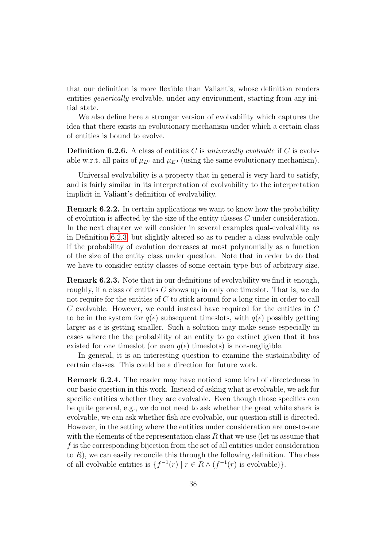that our definition is more flexible than Valiant's, whose definition renders entities *generically* evolvable, under any environment, starting from any initial state.

We also define here a stronger version of evolvability which captures the idea that there exists an evolutionary mechanism under which a certain class of entities is bound to evolve.

**Definition 6.2.6.** A class of entities C is universally evolvable if C is evolvable w.r.t. all pairs of  $\mu_{L^0}$  and  $\mu_{E^0}$  (using the same evolutionary mechanism).

Universal evolvability is a property that in general is very hard to satisfy, and is fairly similar in its interpretation of evolvability to the interpretation implicit in Valiant's definition of evolvability.

<span id="page-43-0"></span>Remark 6.2.2. In certain applications we want to know how the probability of evolution is affected by the size of the entity classes  $C$  under consideration. In the next chapter we will consider in several examples qual-evolvability as in Definition [6.2.3,](#page-41-1) but slightly altered so as to render a class evolvable only if the probability of evolution decreases at most polynomially as a function of the size of the entity class under question. Note that in order to do that we have to consider entity classes of some certain type but of arbitrary size.

Remark 6.2.3. Note that in our definitions of evolvability we find it enough, roughly, if a class of entities  $C$  shows up in only one timeslot. That is, we do not require for the entities of C to stick around for a long time in order to call C evolvable. However, we could instead have required for the entities in C to be in the system for  $q(\epsilon)$  subsequent timeslots, with  $q(\epsilon)$  possibly getting larger as  $\epsilon$  is getting smaller. Such a solution may make sense especially in cases where the the probability of an entity to go extinct given that it has existed for one timeslot (or even  $q(\epsilon)$  timeslots) is non-negligible.

In general, it is an interesting question to examine the sustainability of certain classes. This could be a direction for future work.

Remark 6.2.4. The reader may have noticed some kind of directedness in our basic question in this work. Instead of asking what is evolvable, we ask for specific entities whether they are evolvable. Even though those specifics can be quite general, e.g., we do not need to ask whether the great white shark is evolvable, we can ask whether fish are evolvable, our question still is directed. However, in the setting where the entities under consideration are one-to-one with the elements of the representation class  $R$  that we use (let us assume that f is the corresponding bijection from the set of all entities under consideration to  $R$ ), we can easily reconcile this through the following definition. The class of all evolvable entities is  $\{f^{-1}(r) \mid r \in R \wedge (f^{-1}(r))\}$ .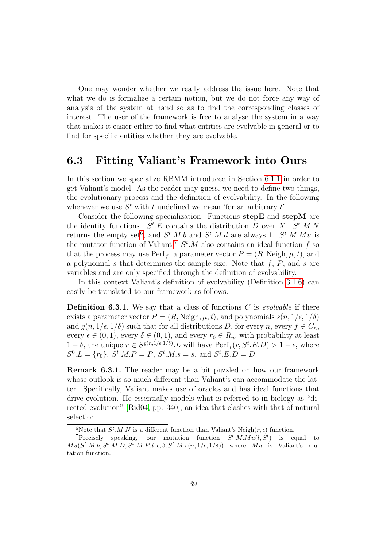One may wonder whether we really address the issue here. Note that what we do is formalize a certain notion, but we do not force any way of analysis of the system at hand so as to find the corresponding classes of interest. The user of the framework is free to analyse the system in a way that makes it easier either to find what entities are evolvable in general or to find for specific entities whether they are evolvable.

### <span id="page-44-0"></span>6.3 Fitting Valiant's Framework into Ours

In this section we specialize RBMM introduced in Section [6.1.1](#page-38-0) in order to get Valiant's model. As the reader may guess, we need to define two things, the evolutionary process and the definition of evolvability. In the following whenever we use  $S<sup>t</sup>$  with t undefined we mean 'for an arbitrary t'.

Consider the following specialization. Functions stepE and stepM are the identity functions.  $S^t$ . E contains the distribution D over X.  $S^t$ . M. N returns the empty set<sup>[6](#page-44-1)</sup>, and  $S^t.M.b$  and  $S^t.M.d$  are always 1.  $S^t.M.Mu$  is the mutator function of Valiant.<sup>[7](#page-44-2)</sup>  $S<sup>t</sup>$ . M also contains an ideal function f so that the process may use  $\text{Perf}_f$ , a parameter vector  $P = (R, \text{Neigh}, \mu, t)$ , and a polynomial s that determines the sample size. Note that  $f, P$ , and s are variables and are only specified through the definition of evolvability.

In this context Valiant's definition of evolvability (Definition [3.1.6\)](#page-19-2) can easily be translated to our framework as follows.

**Definition 6.3.1.** We say that a class of functions C is evolvable if there exists a parameter vector  $P = (R, Neigh, \mu, t)$ , and polynomials  $s(n, 1/\epsilon, 1/\delta)$ and  $g(n, 1/\epsilon, 1/\delta)$  such that for all distributions D, for every  $n$ , every  $f \in C_n$ , every  $\epsilon \in (0, 1)$ , every  $\delta \in (0, 1)$ , and every  $r_0 \in R_n$ , with probability at least  $1-\delta$ , the unique  $r \in S^{g(n,1/\epsilon,1/\delta)}$ . L will have  $\text{Perf}_f(r, S^t.E.D) > 1-\epsilon$ , where  $S^0.L = \{r_0\}, S^t.M.P = P, S^t.M.s = s, \text{ and } S^t.E.D = D.$ 

Remark 6.3.1. The reader may be a bit puzzled on how our framework whose outlook is so much different than Valiant's can accommodate the latter. Specifically, Valiant makes use of oracles and has ideal functions that drive evolution. He essentially models what is referred to in biology as "directed evolution" [\[Rid04,](#page-69-5) pp. 340], an idea that clashes with that of natural selection.

<span id="page-44-2"></span><span id="page-44-1"></span><sup>&</sup>lt;sup>6</sup>Note that  $S^t.M.N$  is a different function than Valiant's Neigh $(r, \epsilon)$  function.

<sup>&</sup>lt;sup>7</sup>Precisely speaking, our mutation function  $S^t.M.Mu(l, S^t)$  is equal to  $Mu(S^t.M.b, S^t.M.D, S^t.M.P, l, \epsilon, \delta, S^t.M.s(n, 1/\epsilon, 1/\delta))$  where  $Mu$  is Valiant's mutation function.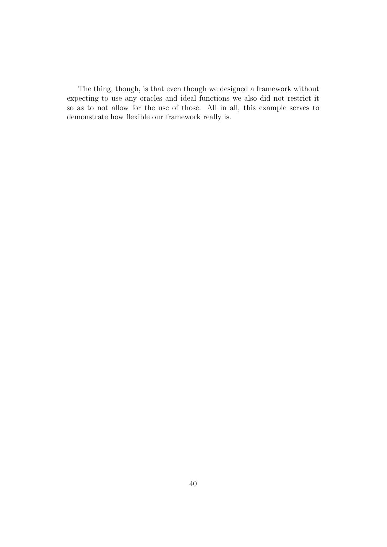The thing, though, is that even though we designed a framework without expecting to use any oracles and ideal functions we also did not restrict it so as to not allow for the use of those. All in all, this example serves to demonstrate how flexible our framework really is.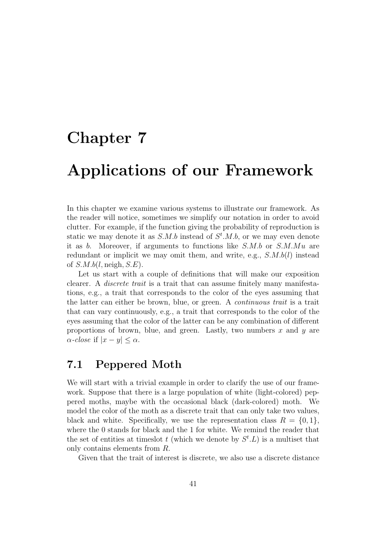### <span id="page-46-0"></span>Chapter 7

### Applications of our Framework

In this chapter we examine various systems to illustrate our framework. As the reader will notice, sometimes we simplify our notation in order to avoid clutter. For example, if the function giving the probability of reproduction is static we may denote it as  $S.M.b$  instead of  $S^t.M.b$ , or we may even denote it as  $b$ . Moreover, if arguments to functions like  $S.M.b$  or  $S.M.Mu$  are redundant or implicit we may omit them, and write, e.g.,  $S.M.b(l)$  instead of  $S.M.b(l, \text{neigh}, S.E)$ .

Let us start with a couple of definitions that will make our exposition clearer. A discrete trait is a trait that can assume finitely many manifestations, e.g., a trait that corresponds to the color of the eyes assuming that the latter can either be brown, blue, or green. A continuous trait is a trait that can vary continuously, e.g., a trait that corresponds to the color of the eyes assuming that the color of the latter can be any combination of different proportions of brown, blue, and green. Lastly, two numbers  $x$  and  $y$  are  $\alpha$ -close if  $|x-y| \leq \alpha$ .

### <span id="page-46-1"></span>7.1 Peppered Moth

We will start with a trivial example in order to clarify the use of our framework. Suppose that there is a large population of white (light-colored) peppered moths, maybe with the occasional black (dark-colored) moth. We model the color of the moth as a discrete trait that can only take two values, black and white. Specifically, we use the representation class  $R = \{0, 1\}$ , where the 0 stands for black and the 1 for white. We remind the reader that the set of entities at timeslot t (which we denote by  $S^t$ . L) is a multiset that only contains elements from R.

Given that the trait of interest is discrete, we also use a discrete distance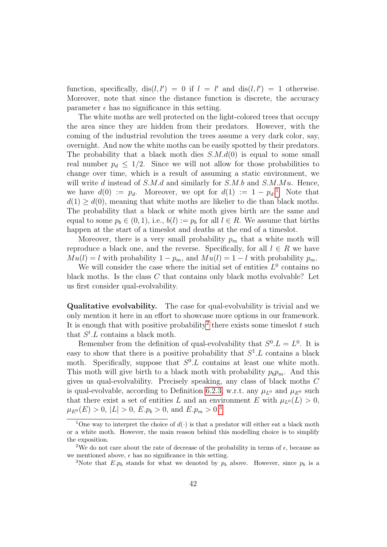function, specifically,  $dis(l, l') = 0$  if  $l = l'$  and  $dis(l, l') = 1$  otherwise. Moreover, note that since the distance function is discrete, the accuracy parameter  $\epsilon$  has no significance in this setting.

The white moths are well protected on the light-colored trees that occupy the area since they are hidden from their predators. However, with the coming of the industrial revolution the trees assume a very dark color, say, overnight. And now the white moths can be easily spotted by their predators. The probability that a black moth dies  $S.M.d(0)$  is equal to some small real number  $p_d \leq 1/2$ . Since we will not allow for those probabilities to change over time, which is a result of assuming a static environment, we will write d instead of  $S.M.d$  and similarly for  $S.M.b$  and  $S.M.Mu$ . Hence, we have  $d(0) := p_d$ . Moreover, we opt for  $d(1) := 1 - p_d$  $d(1) := 1 - p_d$  $d(1) := 1 - p_d$ <sup>1</sup> Note that  $d(1) \geq d(0)$ , meaning that white moths are likelier to die than black moths. The probability that a black or white moth gives birth are the same and equal to some  $p_b \in (0, 1)$ , i.e.,  $b(l) := p_b$  for all  $l \in R$ . We assume that births happen at the start of a timeslot and deaths at the end of a timeslot.

Moreover, there is a very small probability  $p_m$  that a white moth will reproduce a black one, and the reverse. Specifically, for all  $l \in R$  we have  $Mu(l) = l$  with probability  $1 - p_m$ , and  $Mu(l) = 1 - l$  with probability  $p_m$ .

We will consider the case where the initial set of entities  $L^0$  contains no black moths. Is the class C that contains only black moths evolvable? Let us first consider qual-evolvability.

Qualitative evolvability. The case for qual-evolvability is trivial and we only mention it here in an effort to showcase more options in our framework. It is enough that with positive probability<sup>[2](#page-47-1)</sup> there exists some times ot t such that  $S^t$ . L contains a black moth.

Remember from the definition of qual-evolvability that  $S^0.L = L^0$ . It is easy to show that there is a positive probability that  $S^1$ . L contains a black moth. Specifically, suppose that  $S^0$ . L contains at least one white moth. This moth will give birth to a black moth with probability  $p_b p_m$ . And this gives us qual-evolvability. Precisely speaking, any class of black moths C is qual-evolvable, according to Definition [6.2.3,](#page-41-1) w.r.t. any  $\mu_{L^0}$  and  $\mu_{E^0}$  such that there exist a set of entities L and an environment E with  $\mu_{L^0}(L) > 0$ ,  $\mu_{E^0}(E) > 0, |L| > 0, E.p_b > 0, \text{ and } E.p_m > 0.3$  $\mu_{E^0}(E) > 0, |L| > 0, E.p_b > 0, \text{ and } E.p_m > 0.3$ 

<span id="page-47-0"></span><sup>&</sup>lt;sup>1</sup>One way to interpret the choice of  $d(\cdot)$  is that a predator will either eat a black moth or a white moth. However, the main reason behind this modelling choice is to simplify the exposition.

<span id="page-47-1"></span><sup>&</sup>lt;sup>2</sup>We do not care about the rate of decrease of the probability in terms of  $\epsilon$ , because as we mentioned above,  $\epsilon$  has no significance in this setting.

<span id="page-47-2"></span><sup>&</sup>lt;sup>3</sup>Note that E. $p_b$  stands for what we denoted by  $p_b$  above. However, since  $p_b$  is a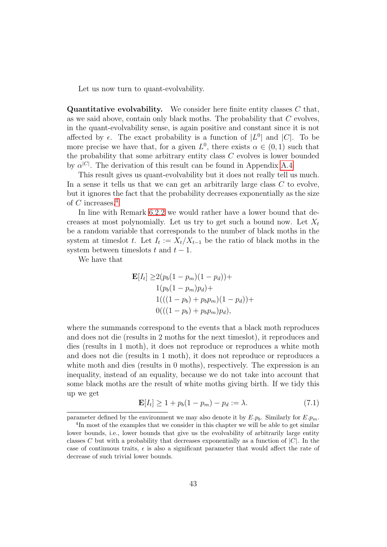Let us now turn to quant-evolvability.

**Quantitative evolvability.** We consider here finite entity classes  $C$  that, as we said above, contain only black moths. The probability that C evolves, in the quant-evolvability sense, is again positive and constant since it is not affected by  $\epsilon$ . The exact probability is a function of  $|L^0|$  and  $|C|$ . To be more precise we have that, for a given  $L^0$ , there exists  $\alpha \in (0,1)$  such that the probability that some arbitrary entity class C evolves is lower bounded by  $\alpha^{|C|}$ . The derivation of this result can be found in Appendix [A.4.](#page-67-0)

This result gives us quant-evolvability but it does not really tell us much. In a sense it tells us that we can get an arbitrarily large class  $C$  to evolve, but it ignores the fact that the probability decreases exponentially as the size of C increases.<sup>[4](#page-48-0)</sup>

In line with Remark [6.2.2](#page-43-0) we would rather have a lower bound that decreases at most polynomially. Let us try to get such a bound now. Let  $X_t$ be a random variable that corresponds to the number of black moths in the system at timeslot t. Let  $I_t := X_t/X_{t-1}$  be the ratio of black moths in the system between timeslots t and  $t - 1$ .

We have that

$$
\mathbf{E}[I_t] \ge 2(p_b(1-p_m)(1-p_d)) +
$$
  
1(p\_b(1-p\_m)p\_d) +  
1(((1-p\_b) + p\_b p\_m)(1-p\_d)) +  
0(((1-p\_b) + p\_b p\_m)p\_d),

where the summands correspond to the events that a black moth reproduces and does not die (results in 2 moths for the next timeslot), it reproduces and dies (results in 1 moth), it does not reproduce or reproduces a white moth and does not die (results in 1 moth), it does not reproduce or reproduces a white moth and dies (results in 0 moths), respectively. The expression is an inequality, instead of an equality, because we do not take into account that some black moths are the result of white moths giving birth. If we tidy this up we get

<span id="page-48-1"></span>
$$
\mathbf{E}[I_t] \ge 1 + p_b(1 - p_m) - p_d := \lambda. \tag{7.1}
$$

parameter defined by the environment we may also denote it by  $E.p_b$ . Similarly for  $E.p_m$ .

<span id="page-48-0"></span><sup>&</sup>lt;sup>4</sup>In most of the examples that we consider in this chapter we will be able to get similar lower bounds, i.e., lower bounds that give us the evolvability of arbitrarily large entity classes C but with a probability that decreases exponentially as a function of  $|C|$ . In the case of continuous traits,  $\epsilon$  is also a significant parameter that would affect the rate of decrease of such trivial lower bounds.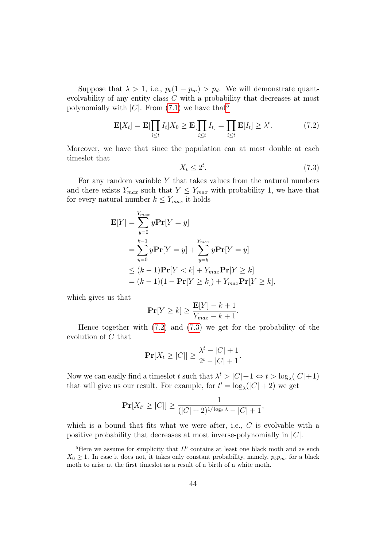Suppose that  $\lambda > 1$ , i.e.,  $p_b(1 - p_m) > p_d$ . We will demonstrate quantevolvability of any entity class C with a probability that decreases at most polynomially with  $|C|$ . From [\(7.1\)](#page-48-1) we have that<sup>[5](#page-49-0)</sup>

<span id="page-49-1"></span>
$$
\mathbf{E}[X_t] = \mathbf{E}[\prod_{i \le t} I_t] X_0 \ge \mathbf{E}[\prod_{i \le t} I_t] = \prod_{i \le t} \mathbf{E}[I_t] \ge \lambda^t. \tag{7.2}
$$

Moreover, we have that since the population can at most double at each timeslot that

<span id="page-49-2"></span>
$$
X_t \le 2^t. \tag{7.3}
$$

For any random variable  $Y$  that takes values from the natural numbers and there exists  $Y_{max}$  such that  $Y \leq Y_{max}$  with probability 1, we have that for every natural number  $k \leq Y_{max}$  it holds

$$
\mathbf{E}[Y] = \sum_{y=0}^{Y_{max}} y\mathbf{Pr}[Y=y]
$$
  
= 
$$
\sum_{y=0}^{k-1} y\mathbf{Pr}[Y=y] + \sum_{y=k}^{Y_{max}} y\mathbf{Pr}[Y=y]
$$
  

$$
\leq (k-1)\mathbf{Pr}[Y < k] + Y_{max}\mathbf{Pr}[Y \geq k]
$$
  
= 
$$
(k-1)(1 - \mathbf{Pr}[Y \geq k]) + Y_{max}\mathbf{Pr}[Y \geq k],
$$

which gives us that

$$
\mathbf{Pr}[Y \ge k] \ge \frac{\mathbf{E}[Y] - k + 1}{Y_{max} - k + 1}.
$$

Hence together with [\(7.2\)](#page-49-1) and [\(7.3\)](#page-49-2) we get for the probability of the evolution of C that

$$
\Pr[X_t \ge |C|] \ge \frac{\lambda^t - |C| + 1}{2^t - |C| + 1}.
$$

Now we can easily find a timeslot t such that  $\lambda^t > |C| + 1 \Leftrightarrow t > \log_{\lambda}(|C| + 1)$ that will give us our result. For example, for  $t' = \log_{\lambda}(|C| + 2)$  we get

$$
\Pr[X_{t'} \ge |C|] \ge \frac{1}{(|C|+2)^{1/\log_2 \lambda} - |C|+1},
$$

which is a bound that fits what we were after, i.e., C is evolvable with a positive probability that decreases at most inverse-polynomially in  $|C|$ .

<span id="page-49-0"></span><sup>&</sup>lt;sup>5</sup>Here we assume for simplicity that  $L^0$  contains at least one black moth and as such  $X_0 \geq 1$ . In case it does not, it takes only constant probability, namely,  $p_b p_m$ , for a black moth to arise at the first timeslot as a result of a birth of a white moth.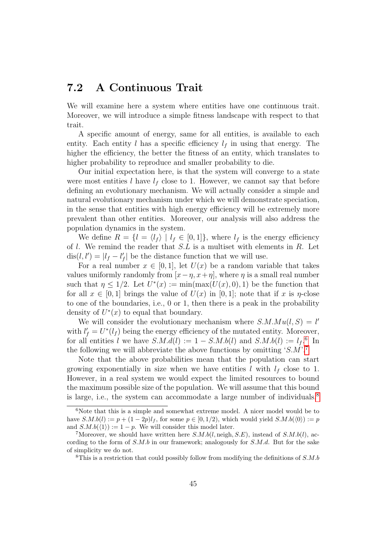### <span id="page-50-0"></span>7.2 A Continuous Trait

We will examine here a system where entities have one continuous trait. Moreover, we will introduce a simple fitness landscape with respect to that trait.

A specific amount of energy, same for all entities, is available to each entity. Each entity l has a specific efficiency  $l_f$  in using that energy. The higher the efficiency, the better the fitness of an entity, which translates to higher probability to reproduce and smaller probability to die.

Our initial expectation here, is that the system will converge to a state were most entities l have  $l_f$  close to 1. However, we cannot say that before defining an evolutionary mechanism. We will actually consider a simple and natural evolutionary mechanism under which we will demonstrate speciation, in the sense that entities with high energy efficiency will be extremely more prevalent than other entities. Moreover, our analysis will also address the population dynamics in the system.

We define  $R = \{l = \langle l_f \rangle | l_f \in [0, 1]\}$ , where  $l_f$  is the energy efficiency of  $l$ . We remind the reader that  $S.L$  is a multiset with elements in  $R$ . Let  $dis(l, l') = |l_f - l'_f|$  be the distance function that we will use.

For a real number  $x \in [0,1]$ , let  $U(x)$  be a random variable that takes values uniformly randomly from  $[x - \eta, x + \eta]$ , where  $\eta$  is a small real number such that  $\eta \leq 1/2$ . Let  $U^*(x) := \min(\max(U(x), 0), 1)$  be the function that for all  $x \in [0,1]$  brings the value of  $U(x)$  in  $[0,1]$ ; note that if x is  $\eta$ -close to one of the boundaries, i.e., 0 or 1, then there is a peak in the probability density of  $U^*(x)$  to equal that boundary.

We will consider the evolutionary mechanism where  $S.M.Mu(l, S) = l'$ with  $l'_f = U^*(l_f)$  being the energy efficiency of the mutated entity. Moreover, for all entities l we have  $S.M.d(l) := 1 - S.M.b(l)$  and  $S.M.b(l) := l_f$ <sup>[6](#page-50-1)</sup> In the following we will abbreviate the above functions by omitting  $S.M.^7$  $S.M.^7$ 

Note that the above probabilities mean that the population can start growing exponentially in size when we have entities l with  $l_f$  close to 1. However, in a real system we would expect the limited resources to bound the maximum possible size of the population. We will assume that this bound is large, i.e., the system can accommodate a large number of individuals.<sup>[8](#page-50-3)</sup>

<span id="page-50-1"></span> $6$ Note that this is a simple and somewhat extreme model. A nicer model would be to have  $S.M.b(l) := p + (1 - 2p)l_f$ , for some  $p \in [0, 1/2)$ , which would yield  $S.M.b(\langle 0 \rangle) := p$ and  $S.M.b(\langle 1 \rangle) := 1 - p$ . We will consider this model later.

<span id="page-50-2"></span><sup>&</sup>lt;sup>7</sup>Moreover, we should have written here  $S.M.b(l, \text{neigh}, S.E)$ , instead of  $S.M.b(l)$ , according to the form of  $S.M.b$  in our framework; analogously for  $S.M.d.$  But for the sake of simplicity we do not.

<span id="page-50-3"></span><sup>&</sup>lt;sup>8</sup>This is a restriction that could possibly follow from modifying the definitions of  $S.M.b$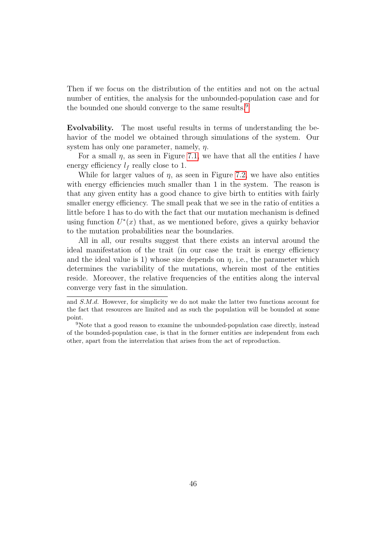Then if we focus on the distribution of the entities and not on the actual number of entities, the analysis for the unbounded-population case and for the bounded one should converge to the same results.<sup>[9](#page-51-0)</sup>

Evolvability. The most useful results in terms of understanding the behavior of the model we obtained through simulations of the system. Our system has only one parameter, namely,  $\eta$ .

For a small  $\eta$ , as seen in Figure [7.1,](#page-52-0) we have that all the entities l have energy efficiency  $l_f$  really close to 1.

While for larger values of  $\eta$ , as seen in Figure [7.2,](#page-53-0) we have also entities with energy efficiencies much smaller than 1 in the system. The reason is that any given entity has a good chance to give birth to entities with fairly smaller energy efficiency. The small peak that we see in the ratio of entities a little before 1 has to do with the fact that our mutation mechanism is defined using function  $U^*(x)$  that, as we mentioned before, gives a quirky behavior to the mutation probabilities near the boundaries.

All in all, our results suggest that there exists an interval around the ideal manifestation of the trait (in our case the trait is energy efficiency and the ideal value is 1) whose size depends on  $\eta$ , i.e., the parameter which determines the variability of the mutations, wherein most of the entities reside. Moreover, the relative frequencies of the entities along the interval converge very fast in the simulation.

and S.M.d. However, for simplicity we do not make the latter two functions account for the fact that resources are limited and as such the population will be bounded at some point.

<span id="page-51-0"></span><sup>&</sup>lt;sup>9</sup>Note that a good reason to examine the unbounded-population case directly, instead of the bounded-population case, is that in the former entities are independent from each other, apart from the interrelation that arises from the act of reproduction.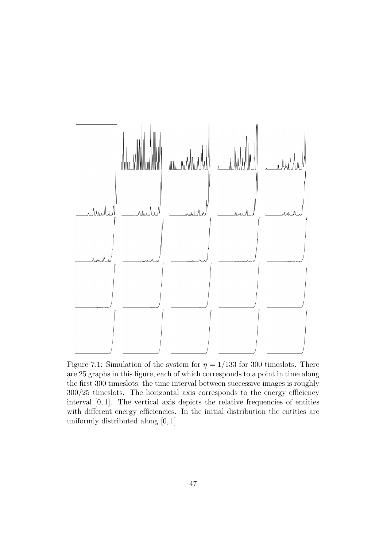<span id="page-52-0"></span>

Figure 7.1: Simulation of the system for  $\eta = 1/133$  for 300 timeslots. There are 25 graphs in this figure, each of which corresponds to a point in time along the first 300 timeslots; the time interval between successive images is roughly 300/25 timeslots. The horizontal axis corresponds to the energy efficiency interval [0, 1]. The vertical axis depicts the relative frequencies of entities with different energy efficiencies. In the initial distribution the entities are uniformly distributed along [0, 1].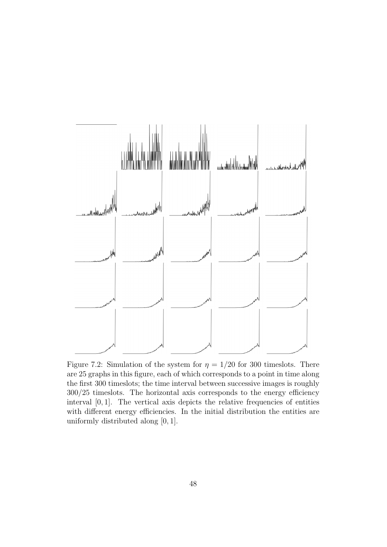<span id="page-53-0"></span>

Figure 7.2: Simulation of the system for  $\eta = 1/20$  for 300 timeslots. There are 25 graphs in this figure, each of which corresponds to a point in time along the first 300 timeslots; the time interval between successive images is roughly 300/25 timeslots. The horizontal axis corresponds to the energy efficiency interval [0, 1]. The vertical axis depicts the relative frequencies of entities with different energy efficiencies. In the initial distribution the entities are uniformly distributed along [0, 1].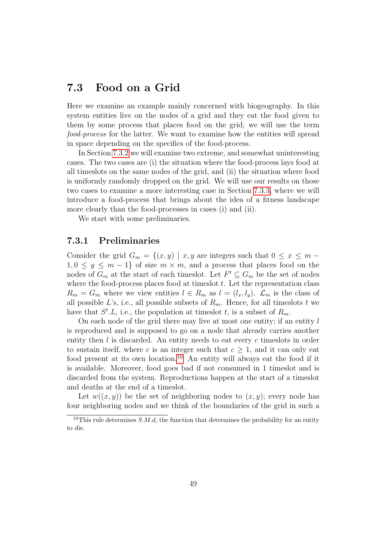### <span id="page-54-0"></span>7.3 Food on a Grid

Here we examine an example mainly concerned with biogeography. In this system entities live on the nodes of a grid and they eat the food given to them by some process that places food on the grid; we will use the term food-process for the latter. We want to examine how the entities will spread in space depending on the specifics of the food-process.

In Section [7.3.2](#page-55-0) we will examine two extreme, and somewhat uninteresting cases. The two cases are (i) the situation where the food-process lays food at all timeslots on the same nodes of the grid, and (ii) the situation where food is uniformly randomly dropped on the grid. We will use our results on those two cases to examine a more interesting case in Section [7.3.3,](#page-58-0) where we will introduce a food-process that brings about the idea of a fitness landscape more clearly than the food-processes in cases (i) and (ii).

We start with some preliminaries.

### <span id="page-54-1"></span>7.3.1 Preliminaries

Consider the grid  $G_m = \{(x, y) \mid x, y \text{ are integers such that } 0 \leq x \leq m 1, 0 \leq y \leq m-1$  of size  $m \times m$ , and a process that places food on the nodes of  $G_m$  at the start of each timeslot. Let  $F^t \subseteq G_m$  be the set of nodes where the food-process places food at times ot  $t$ . Let the representation class  $R_m = G_m$  where we view entities  $l \in R_m$  as  $l = (l_x, l_y)$ .  $\mathcal{L}_m$  is the class of all possible L's, i.e., all possible subsets of  $R_m$ . Hence, for all timeslots t we have that  $S^t$ . L, i.e., the population at timeslot t, is a subset of  $R_m$ .

On each node of the grid there may live at most one entity; if an entity l is reproduced and is supposed to go on a node that already carries another entity then l is discarded. An entity needs to eat every c times lots in order to sustain itself, where c is an integer such that  $c \geq 1$ , and it can only eat food present at its own location.<sup>[10](#page-54-2)</sup> An entity will always eat the food if it is available. Moreover, food goes bad if not consumed in 1 timeslot and is discarded from the system. Reproductions happen at the start of a timeslot and deaths at the end of a timeslot.

Let  $w((x, y))$  be the set of neighboring nodes to  $(x, y)$ ; every node has four neighboring nodes and we think of the boundaries of the grid in such a

<span id="page-54-2"></span><sup>&</sup>lt;sup>10</sup>This rule determines S.M.d, the function that determines the probability for an entity to die.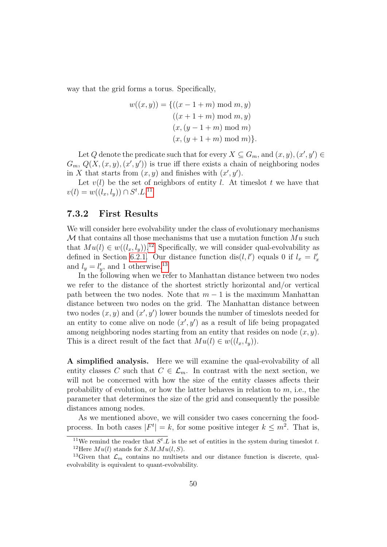way that the grid forms a torus. Specifically,

$$
w((x, y)) = \{((x - 1 + m) \mod m, y) \\
 ( (x + 1 + m) \mod m, y) \\
 (x, (y - 1 + m) \mod m) \\
 (x, (y + 1 + m) \mod m) \}.
$$

Let Q denote the predicate such that for every  $X \subseteq G_m$ , and  $(x, y), (x', y') \in$  $G_m, Q(X, (x, y), (x', y'))$  is true iff there exists a chain of neighboring nodes in X that starts from  $(x, y)$  and finishes with  $(x', y')$ .

Let  $v(l)$  be the set of neighbors of entity l. At timeslot t we have that  $v(l) = w((l_x, l_y)) \cap S^t.L.^{11}$  $v(l) = w((l_x, l_y)) \cap S^t.L.^{11}$  $v(l) = w((l_x, l_y)) \cap S^t.L.^{11}$ 

### <span id="page-55-0"></span>7.3.2 First Results

We will consider here evolvability under the class of evolutionary mechanisms  $\mathcal M$  that contains all those mechanisms that use a mutation function  $\mathcal M u$  such that  $Mu(l) \in w((l_x, l_y))$ .<sup>[12](#page-55-2)</sup> Specifically, we will consider qual-evolvability as defined in Section [6.2.1.](#page-39-1) Our distance function dis(*l*, *l'*) equals 0 if  $l_x = l'_x$ and  $l_y = l'_y$ , and 1 otherwise.<sup>[13](#page-55-3)</sup>

In the following when we refer to Manhattan distance between two nodes we refer to the distance of the shortest strictly horizontal and/or vertical path between the two nodes. Note that  $m-1$  is the maximum Manhattan distance between two nodes on the grid. The Manhattan distance between two nodes  $(x, y)$  and  $(x', y')$  lower bounds the number of timeslots needed for an entity to come alive on node  $(x', y')$  as a result of life being propagated among neighboring nodes starting from an entity that resides on node  $(x, y)$ . This is a direct result of the fact that  $Mu(l) \in w((l_x, l_y)).$ 

A simplified analysis. Here we will examine the qual-evolvability of all entity classes C such that  $C \in \mathcal{L}_m$ . In contrast with the next section, we will not be concerned with how the size of the entity classes affects their probability of evolution, or how the latter behaves in relation to  $m$ , i.e., the parameter that determines the size of the grid and consequently the possible distances among nodes.

As we mentioned above, we will consider two cases concerning the foodprocess. In both cases  $|F^t| = k$ , for some positive integer  $k \leq m^2$ . That is,

<span id="page-55-2"></span><span id="page-55-1"></span><sup>&</sup>lt;sup>11</sup>We remind the reader that  $S^t$ . L is the set of entities in the system during timeslot t. <sup>12</sup>Here  $Mu(l)$  stands for  $S.M.Mu(l, S)$ .

<span id="page-55-3"></span><sup>&</sup>lt;sup>13</sup>Given that  $\mathcal{L}_m$  contains no multisets and our distance function is discrete, qualevolvability is equivalent to quant-evolvability.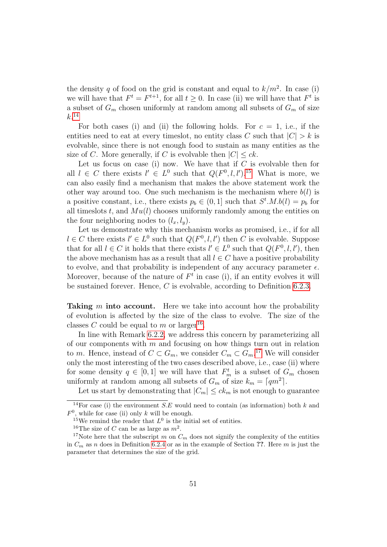the density q of food on the grid is constant and equal to  $k/m^2$ . In case (i) we will have that  $F^t = F^{t+1}$ , for all  $t \geq 0$ . In case (ii) we will have that  $F^t$  is a subset of  $G_m$  chosen uniformly at random among all subsets of  $G_m$  of size  $k<sup>.14</sup>$  $k<sup>.14</sup>$  $k<sup>.14</sup>$ 

For both cases (i) and (ii) the following holds. For  $c = 1$ , i.e., if the entities need to eat at every timeslot, no entity class C such that  $|C| > k$  is evolvable, since there is not enough food to sustain as many entities as the size of C. More generally, if C is evolvable then  $|C| \leq ck$ .

Let us focus on case (i) now. We have that if  $C$  is evolvable then for all  $l \in C$  there exists  $l' \in L^0$  such that  $Q(F^0, l, l')$ .<sup>[15](#page-56-1)</sup> What is more, we can also easily find a mechanism that makes the above statement work the other way around too. One such mechanism is the mechanism where  $b(l)$  is a positive constant, i.e., there exists  $p_b \in (0,1]$  such that  $S^t.M.b(l) = p_b$  for all times lots t, and  $Mu(l)$  chooses uniformly randomly among the entities on the four neighboring nodes to  $(l_x, l_y)$ .

Let us demonstrate why this mechanism works as promised, i.e., if for all  $l \in C$  there exists  $l' \in L^0$  such that  $Q(F^0, l, l')$  then C is evolvable. Suppose that for all  $l \in C$  it holds that there exists  $l' \in L^0$  such that  $Q(F^0, l, l')$ , then the above mechanism has as a result that all  $l \in C$  have a positive probability to evolve, and that probability is independent of any accuracy parameter  $\epsilon$ . Moreover, because of the nature of  $F<sup>t</sup>$  in case (i), if an entity evolves it will be sustained forever. Hence, C is evolvable, according to Definition [6.2.3.](#page-41-1)

**Taking m into account.** Here we take into account how the probability of evolution is affected by the size of the class to evolve. The size of the classes C could be equal to m or larger<sup>[16](#page-56-2)</sup>.

In line with Remark [6.2.2,](#page-43-0) we address this concern by parameterizing all of our components with  $m$  and focusing on how things turn out in relation to m. Hence, instead of  $C \subset G_m$ , we consider  $C_m \subset G_m$ .<sup>[17](#page-56-3)</sup> We will consider only the most interesting of the two cases described above, i.e., case (ii) where for some density  $q \in [0,1]$  we will have that  $F_m^t$  is a subset of  $G_m$  chosen uniformly at random among all subsets of  $G_m$  of size  $k_m = \lceil qm^2 \rceil$ .

Let us start by demonstrating that  $|C_m| \leq ck_m$  is not enough to guarantee

<span id="page-56-0"></span><sup>&</sup>lt;sup>14</sup>For case (i) the environment S.E would need to contain (as information) both k and  $F^0$ , while for case (ii) only k will be enough.

<span id="page-56-1"></span><sup>&</sup>lt;sup>15</sup>We remind the reader that  $L^0$  is the initial set of entities.

<span id="page-56-3"></span><span id="page-56-2"></span><sup>&</sup>lt;sup>16</sup>The size of C can be as large as  $m^2$ .

<sup>&</sup>lt;sup>17</sup>Note here that the subscript m on  $C_m$  does not signify the complexity of the entities in  $C_m$  as n does in Definition [6.2.4](#page-42-0) or as in the example of Section ??. Here m is just the parameter that determines the size of the grid.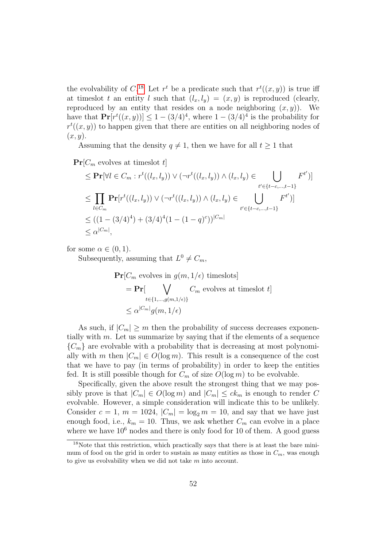the evolvability of C.<sup>[18](#page-57-0)</sup> Let  $r^t$  be a predicate such that  $r^t((x, y))$  is true iff at times lot t an entity l such that  $(l_x, l_y) = (x, y)$  is reproduced (clearly, reproduced by an entity that resides on a node neighboring  $(x, y)$ . We have that  $\Pr[r^t((x,y))] \leq 1 - (3/4)^4$ , where  $1 - (3/4)^4$  is the probability for  $r^{t}(x, y)$  to happen given that there are entities on all neighboring nodes of  $(x, y)$ .

Assuming that the density  $q \neq 1$ , then we have for all  $t \geq 1$  that

 $\Pr[C_m$  evolves at timeslot t

$$
\leq \mathbf{Pr}[\forall l \in C_m : r^t((l_x, l_y)) \vee (\neg r^t((l_x, l_y)) \wedge (l_x, l_y) \in \bigcup_{t' \in \{t-c, ..., t-1\}} F^{t'})]
$$
  
\n
$$
\leq \prod_{l \in C_m} \mathbf{Pr}[r^t((l_x, l_y)) \vee (\neg r^t((l_x, l_y)) \wedge (l_x, l_y) \in \bigcup_{t' \in \{t-c, ..., t-1\}} F^{t'})]
$$
  
\n
$$
\leq ((1 - (3/4)^4) + (3/4)^4 (1 - (1 - q)^c))^{|C_m|}
$$
  
\n
$$
\leq \alpha^{|C_m|},
$$

for some  $\alpha \in (0,1)$ .

Subsequently, assuming that  $L^0 \neq C_m$ ,

$$
\begin{aligned} \Pr[C_m \text{ evolves in } g(m, 1/\epsilon) \text{ times}]\n&= \Pr[\bigvee_{t \in \{1, \dots, g(m, 1/\epsilon)\}} C_m \text{ evolves at times} \text{lot } t] \\
&\leq \alpha^{|C_m|} g(m, 1/\epsilon) \n\end{aligned}
$$

As such, if  $|C_m| \geq m$  then the probability of success decreases exponentially with  $m$ . Let us summarize by saying that if the elements of a sequence  ${C_m}$  are evolvable with a probability that is decreasing at most polynomially with m then  $|C_m| \in O(\log m)$ . This result is a consequence of the cost that we have to pay (in terms of probability) in order to keep the entities fed. It is still possible though for  $C_m$  of size  $O(\log m)$  to be evolvable.

Specifically, given the above result the strongest thing that we may possibly prove is that  $|C_m| \in O(\log m)$  and  $|C_m| \le ck_m$  is enough to render C evolvable. However, a simple consideration will indicate this to be unlikely. Consider  $c = 1$ ,  $m = 1024$ ,  $|C_m| = \log_2 m = 10$ , and say that we have just enough food, i.e.,  $k_m = 10$ . Thus, we ask whether  $C_m$  can evolve in a place where we have  $10^6$  nodes and there is only food for 10 of them. A good guess

<span id="page-57-0"></span><sup>&</sup>lt;sup>18</sup>Note that this restriction, which practically says that there is at least the bare minimum of food on the grid in order to sustain as many entities as those in  $C_m$ , was enough to give us evolvability when we did not take m into account.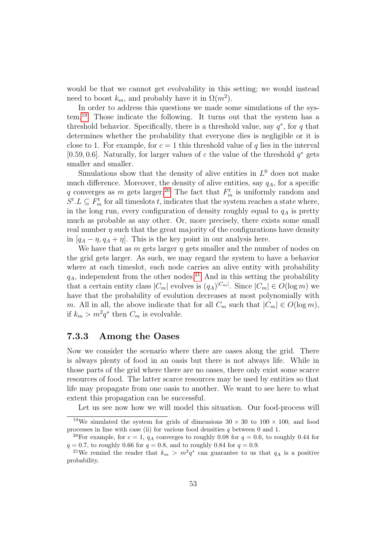would be that we cannot get evolvability in this setting; we would instead need to boost  $k_m$ , and probably have it in  $\Omega(m^2)$ .

In order to address this questions we made some simulations of the system.[19](#page-58-1) Those indicate the following. It turns out that the system has a threshold behavior. Specifically, there is a threshold value, say  $q^*$ , for q that determines whether the probability that everyone dies is negligible or it is close to 1. For example, for  $c = 1$  this threshold value of q lies in the interval [0.59, 0.6]. Naturally, for larger values of c the value of the threshold  $q^*$  gets smaller and smaller.

Simulations show that the density of alive entities in  $L^0$  does not make much difference. Moreover, the density of alive entities, say  $q_A$ , for a specific q converges as m gets larger.<sup>[20](#page-58-2)</sup> The fact that  $F_m^t$  is uniformly random and  $S^t.L \subseteq F_m^t$  for all timeslots t, indicates that the system reaches a state where, in the long run, every configuration of density roughly equal to  $q_A$  is pretty much as probable as any other. Or, more precisely, there exists some small real number  $\eta$  such that the great majority of the configurations have density in  $[q_A - \eta, q_A + \eta]$ . This is the key point in our analysis here.

We have that as m gets larger  $\eta$  gets smaller and the number of nodes on the grid gets larger. As such, we may regard the system to have a behavior where at each timeslot, each node carries an alive entity with probability  $q_A$ , independent from the other nodes.<sup>[21](#page-58-3)</sup> And in this setting the probability that a certain entity class  $|C_m|$  evolves is  $(q_A)^{|C_m|}$ . Since  $|C_m| \in O(\log m)$  we have that the probability of evolution decreases at most polynomially with m. All in all, the above indicate that for all  $C_m$  such that  $|C_m| \in O(\log m)$ , if  $k_m > m^2 q^*$  then  $C_m$  is evolvable.

#### <span id="page-58-0"></span>7.3.3 Among the Oases

Now we consider the scenario where there are oases along the grid. There is always plenty of food in an oasis but there is not always life. While in those parts of the grid where there are no oases, there only exist some scarce resources of food. The latter scarce resources may be used by entities so that life may propagate from one oasis to another. We want to see here to what extent this propagation can be successful.

<span id="page-58-1"></span>Let us see now how we will model this situation. Our food-process will

<sup>&</sup>lt;sup>19</sup>We simulated the system for grids of dimensions  $30 \times 30$  to  $100 \times 100$ , and food processes in line with case (ii) for various food densities  $q$  between 0 and 1.

<span id="page-58-2"></span><sup>&</sup>lt;sup>20</sup>For example, for  $c = 1$ ,  $q_A$  converges to roughly 0.08 for  $q = 0.6$ , to roughly 0.44 for  $q = 0.7$ , to roughly 0.66 for  $q = 0.8$ , and to roughly 0.84 for  $q = 0.9$ .

<span id="page-58-3"></span><sup>&</sup>lt;sup>21</sup>We remind the reader that  $k_m > m^2 q^*$  can guarantee to us that  $q_A$  is a positive probability.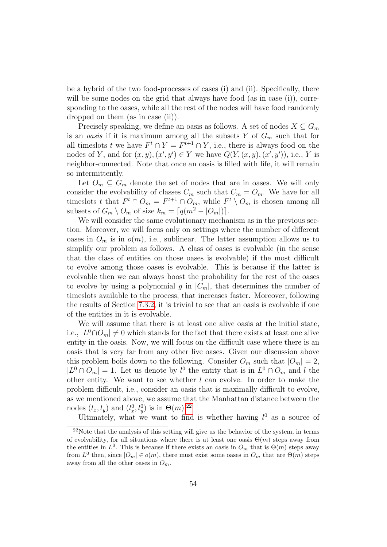be a hybrid of the two food-processes of cases (i) and (ii). Specifically, there will be some nodes on the grid that always have food (as in case  $(i)$ ), corresponding to the oases, while all the rest of the nodes will have food randomly dropped on them (as in case (ii)).

Precisely speaking, we define an oasis as follows. A set of nodes  $X \subseteq G_m$ is an *oasis* if it is maximum among all the subsets Y of  $G_m$  such that for all timeslots t we have  $F^t \cap Y = F^{t+1} \cap Y$ , i.e., there is always food on the nodes of Y, and for  $(x, y), (x', y') \in Y$  we have  $Q(Y, (x, y), (x', y'))$ , i.e., Y is neighbor-connected. Note that once an oasis is filled with life, it will remain so intermittently.

Let  $O_m \subseteq G_m$  denote the set of nodes that are in oases. We will only consider the evolvability of classes  $C_m$  such that  $C_m = O_m$ . We have for all timeslots t that  $F^t \cap O_m = F^{t+1} \cap O_m$ , while  $F^t \setminus O_m$  is chosen among all subsets of  $G_m \setminus O_m$  of size  $k_m = \lceil q(m^2 - |O_m|) \rceil$ .

We will consider the same evolutionary mechanism as in the previous section. Moreover, we will focus only on settings where the number of different oases in  $O_m$  is in  $o(m)$ , i.e., sublinear. The latter assumption allows us to simplify our problem as follows. A class of oases is evolvable (in the sense that the class of entities on those oases is evolvable) if the most difficult to evolve among those oases is evolvable. This is because if the latter is evolvable then we can always boost the probability for the rest of the oases to evolve by using a polynomial g in  $|C_m|$ , that determines the number of timeslots available to the process, that increases faster. Moreover, following the results of Section [7.3.2,](#page-55-0) it is trivial to see that an oasis is evolvable if one of the entities in it is evolvable.

We will assume that there is at least one alive oasis at the initial state, i.e.,  $|L^0 \cap O_m| \neq 0$  which stands for the fact that there exists at least one alive entity in the oasis. Now, we will focus on the difficult case where there is an oasis that is very far from any other live oases. Given our discussion above this problem boils down to the following. Consider  $O_m$  such that  $|O_m| = 2$ ,  $|L^0 \cap O_m| = 1$ . Let us denote by  $l^0$  the entity that is in  $L^0 \cap O_m$  and l the other entity. We want to see whether  $l$  can evolve. In order to make the problem difficult, i.e., consider an oasis that is maximally difficult to evolve, as we mentioned above, we assume that the Manhattan distance between the nodes  $(l_x, l_y)$  and  $(l_x^0, l_y^0)$  is in  $\Theta(m)$ .<sup>[22](#page-59-0)</sup>

Ultimately, what we want to find is whether having  $l^0$  as a source of

<span id="page-59-0"></span><sup>&</sup>lt;sup>22</sup>Note that the analysis of this setting will give us the behavior of the system, in terms of evolvability, for all situations where there is at least one oasis  $\Theta(m)$  steps away from the entities in  $L^0$ . This is because if there exists an oasis in  $O_m$  that is  $\Theta(m)$  steps away from  $L^0$  then, since  $|O_m| \in o(m)$ , there must exist some oases in  $O_m$  that are  $\Theta(m)$  steps away from all the other oases in  $O_m$ .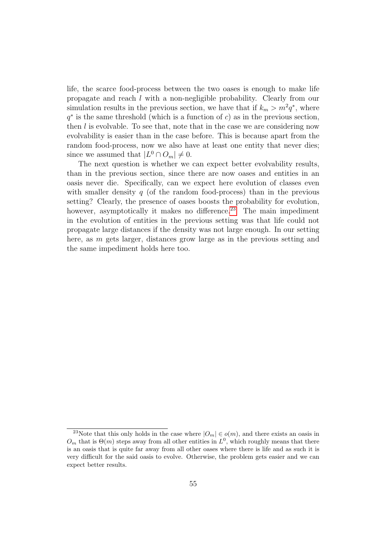life, the scarce food-process between the two oases is enough to make life propagate and reach l with a non-negligible probability. Clearly from our simulation results in the previous section, we have that if  $k_m > m^2 q^*$ , where  $q^*$  is the same threshold (which is a function of c) as in the previous section, then  $l$  is evolvable. To see that, note that in the case we are considering now evolvability is easier than in the case before. This is because apart from the random food-process, now we also have at least one entity that never dies; since we assumed that  $|L^0 \cap O_m| \neq 0$ .

The next question is whether we can expect better evolvability results, than in the previous section, since there are now oases and entities in an oasis never die. Specifically, can we expect here evolution of classes even with smaller density q (of the random food-process) than in the previous setting? Clearly, the presence of oases boosts the probability for evolution, however, asymptotically it makes no difference.<sup>[23](#page-60-0)</sup> The main impediment in the evolution of entities in the previous setting was that life could not propagate large distances if the density was not large enough. In our setting here, as m gets larger, distances grow large as in the previous setting and the same impediment holds here too.

<span id="page-60-0"></span><sup>&</sup>lt;sup>23</sup>Note that this only holds in the case where  $|O_m| \in o(m)$ , and there exists an oasis in  $O_m$  that is  $\Theta(m)$  steps away from all other entities in  $L^0$ , which roughly means that there is an oasis that is quite far away from all other oases where there is life and as such it is very difficult for the said oasis to evolve. Otherwise, the problem gets easier and we can expect better results.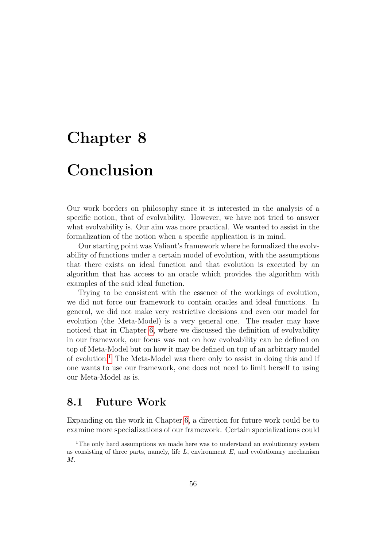## <span id="page-61-0"></span>Chapter 8 Conclusion

Our work borders on philosophy since it is interested in the analysis of a specific notion, that of evolvability. However, we have not tried to answer what evolvability is. Our aim was more practical. We wanted to assist in the formalization of the notion when a specific application is in mind.

Our starting point was Valiant's framework where he formalized the evolvability of functions under a certain model of evolution, with the assumptions that there exists an ideal function and that evolution is executed by an algorithm that has access to an oracle which provides the algorithm with examples of the said ideal function.

Trying to be consistent with the essence of the workings of evolution, we did not force our framework to contain oracles and ideal functions. In general, we did not make very restrictive decisions and even our model for evolution (the Meta-Model) is a very general one. The reader may have noticed that in Chapter [6,](#page-37-0) where we discussed the definition of evolvability in our framework, our focus was not on how evolvability can be defined on top of Meta-Model but on how it may be defined on top of an arbitrary model of evolution.[1](#page-61-2) The Meta-Model was there only to assist in doing this and if one wants to use our framework, one does not need to limit herself to using our Meta-Model as is.

### <span id="page-61-1"></span>8.1 Future Work

Expanding on the work in Chapter [6,](#page-37-0) a direction for future work could be to examine more specializations of our framework. Certain specializations could

<span id="page-61-2"></span><sup>&</sup>lt;sup>1</sup>The only hard assumptions we made here was to understand an evolutionary system as consisting of three parts, namely, life  $L$ , environment  $E$ , and evolutionary mechanism  $M$ .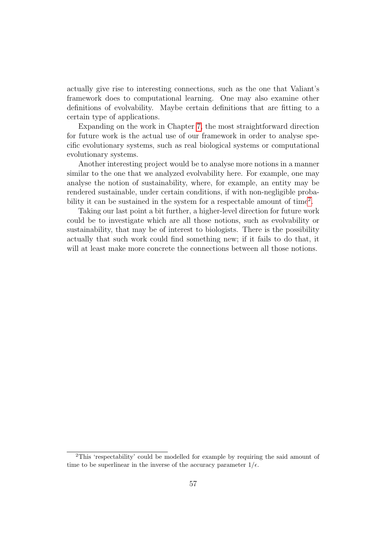actually give rise to interesting connections, such as the one that Valiant's framework does to computational learning. One may also examine other definitions of evolvability. Maybe certain definitions that are fitting to a certain type of applications.

Expanding on the work in Chapter [7,](#page-46-0) the most straightforward direction for future work is the actual use of our framework in order to analyse specific evolutionary systems, such as real biological systems or computational evolutionary systems.

Another interesting project would be to analyse more notions in a manner similar to the one that we analyzed evolvability here. For example, one may analyse the notion of sustainability, where, for example, an entity may be rendered sustainable, under certain conditions, if with non-negligible proba-bility it can be sustained in the system for a respectable amount of time<sup>[2](#page-62-0)</sup>.

Taking our last point a bit further, a higher-level direction for future work could be to investigate which are all those notions, such as evolvability or sustainability, that may be of interest to biologists. There is the possibility actually that such work could find something new; if it fails to do that, it will at least make more concrete the connections between all those notions.

<span id="page-62-0"></span><sup>2</sup>This 'respectability' could be modelled for example by requiring the said amount of time to be superlinear in the inverse of the accuracy parameter  $1/\epsilon$ .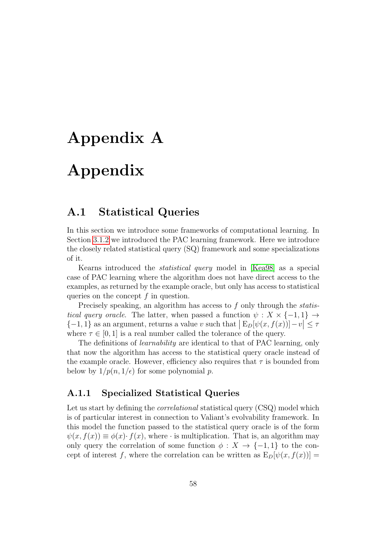# <span id="page-63-0"></span>Appendix A Appendix

### <span id="page-63-1"></span>A.1 Statistical Queries

In this section we introduce some frameworks of computational learning. In Section [3.1.2](#page-15-2) we introduced the PAC learning framework. Here we introduce the closely related statistical query (SQ) framework and some specializations of it.

Kearns introduced the statistical query model in [\[Kea98\]](#page-69-8) as a special case of PAC learning where the algorithm does not have direct access to the examples, as returned by the example oracle, but only has access to statistical queries on the concept  $f$  in question.

Precisely speaking, an algorithm has access to f only through the *statis*tical query oracle. The latter, when passed a function  $\psi : X \times \{-1,1\} \rightarrow$  $\{-1, 1\}$  as an argument, returns a value v such that  $|E_D[\psi(x, f(x))] - v| \le \tau$ where  $\tau \in [0, 1]$  is a real number called the tolerance of the query.

The definitions of *learnability* are identical to that of PAC learning, only that now the algorithm has access to the statistical query oracle instead of the example oracle. However, efficiency also requires that  $\tau$  is bounded from below by  $1/p(n, 1/\epsilon)$  for some polynomial p.

#### <span id="page-63-2"></span>A.1.1 Specialized Statistical Queries

Let us start by defining the *correlational* statistical query (CSQ) model which is of particular interest in connection to Valiant's evolvability framework. In this model the function passed to the statistical query oracle is of the form  $\psi(x, f(x)) \equiv \phi(x) \cdot f(x)$ , where  $\cdot$  is multiplication. That is, an algorithm may only query the correlation of some function  $\phi: X \to \{-1,1\}$  to the concept of interest f, where the correlation can be written as  $E_D[\psi(x, f(x))] =$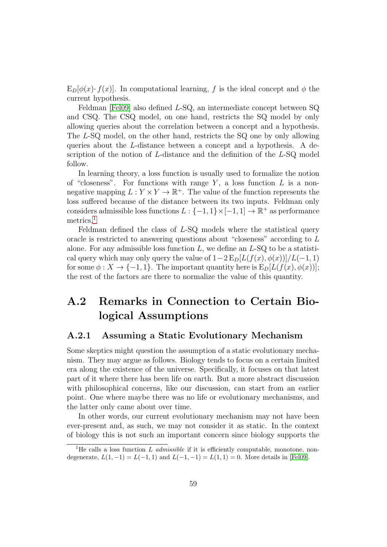$E_D[\phi(x) \cdot f(x)]$ . In computational learning, f is the ideal concept and  $\phi$  the current hypothesis.

Feldman [\[Fel09\]](#page-68-8) also defined L-SQ, an intermediate concept between SQ and CSQ. The CSQ model, on one hand, restricts the SQ model by only allowing queries about the correlation between a concept and a hypothesis. The L-SQ model, on the other hand, restricts the SQ one by only allowing queries about the L-distance between a concept and a hypothesis. A description of the notion of L-distance and the definition of the L-SQ model follow.

In learning theory, a loss function is usually used to formalize the notion of "closeness". For functions with range  $Y$ , a loss function  $L$  is a nonnegative mapping  $L: Y \times Y \to \mathbb{R}^+$ . The value of the function represents the loss suffered because of the distance between its two inputs. Feldman only considers admissible loss functions  $L: \{-1,1\} \times [-1,1] \to \mathbb{R}^+$  as performance metrics.<sup>[1](#page-64-2)</sup>

Feldman defined the class of L-SQ models where the statistical query oracle is restricted to answering questions about "closeness" according to L alone. For any admissible loss function  $L$ , we define an  $L$ -SQ to be a statistical query which may only query the value of  $1-2 \mathbb{E}_D[L(f(x), \phi(x))]/L(-1, 1)$ for some  $\phi: X \to \{-1, 1\}$ . The important quantity here is  $E_D[L(f(x), \phi(x))]$ ; the rest of the factors are there to normalize the value of this quantity.

### <span id="page-64-0"></span>A.2 Remarks in Connection to Certain Biological Assumptions

#### <span id="page-64-1"></span>A.2.1 Assuming a Static Evolutionary Mechanism

Some skeptics might question the assumption of a static evolutionary mechanism. They may argue as follows. Biology tends to focus on a certain limited era along the existence of the universe. Specifically, it focuses on that latest part of it where there has been life on earth. But a more abstract discussion with philosophical concerns, like our discussion, can start from an earlier point. One where maybe there was no life or evolutionary mechanisms, and the latter only came about over time.

In other words, our current evolutionary mechanism may not have been ever-present and, as such, we may not consider it as static. In the context of biology this is not such an important concern since biology supports the

<span id="page-64-2"></span><sup>&</sup>lt;sup>1</sup>He calls a loss function L admissible if it is efficiently computable, monotone, nondegenerate,  $L(1, -1) = L(-1, 1)$  and  $L(-1, -1) = L(1, 1) = 0$ . More details in [\[Fel09\]](#page-68-8).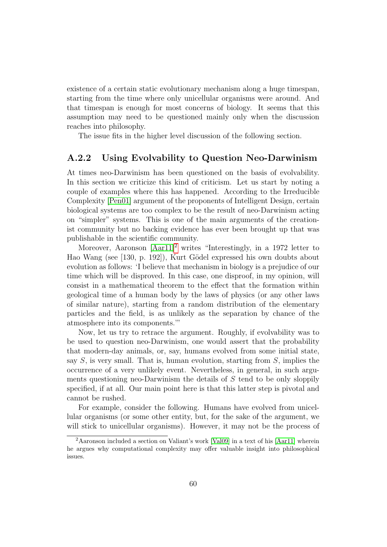existence of a certain static evolutionary mechanism along a huge timespan, starting from the time where only unicellular organisms were around. And that timespan is enough for most concerns of biology. It seems that this assumption may need to be questioned mainly only when the discussion reaches into philosophy.

The issue fits in the higher level discussion of the following section.

### <span id="page-65-0"></span>A.2.2 Using Evolvability to Question Neo-Darwinism

At times neo-Darwinism has been questioned on the basis of evolvability. In this section we criticize this kind of criticism. Let us start by noting a couple of examples where this has happened. According to the Irreducible Complexity [\[Pen01\]](#page-69-10) argument of the proponents of Intelligent Design, certain biological systems are too complex to be the result of neo-Darwinism acting on "simpler" systems. This is one of the main arguments of the creationist community but no backing evidence has ever been brought up that was publishable in the scientific community.

Moreover, Aaronson [\[Aar11\]](#page-68-10)<sup>[2](#page-65-1)</sup> writes "Interestingly, in a 1972 letter to Hao Wang (see [130, p. 192]), Kurt Gödel expressed his own doubts about evolution as follows: 'I believe that mechanism in biology is a prejudice of our time which will be disproved. In this case, one disproof, in my opinion, will consist in a mathematical theorem to the effect that the formation within geological time of a human body by the laws of physics (or any other laws of similar nature), starting from a random distribution of the elementary particles and the field, is as unlikely as the separation by chance of the atmosphere into its components.'"

Now, let us try to retrace the argument. Roughly, if evolvability was to be used to question neo-Darwinism, one would assert that the probability that modern-day animals, or, say, humans evolved from some initial state, say  $S$ , is very small. That is, human evolution, starting from  $S$ , implies the occurrence of a very unlikely event. Nevertheless, in general, in such arguments questioning neo-Darwinism the details of  $S$  tend to be only sloppily specified, if at all. Our main point here is that this latter step is pivotal and cannot be rushed.

For example, consider the following. Humans have evolved from unicellular organisms (or some other entity, but, for the sake of the argument, we will stick to unicellular organisms). However, it may not be the process of

<span id="page-65-1"></span><sup>2</sup>Aaronson included a section on Valiant's work [\[Val09\]](#page-69-0) in a text of his [\[Aar11\]](#page-68-10) wherein he argues why computational complexity may offer valuable insight into philosophical issues.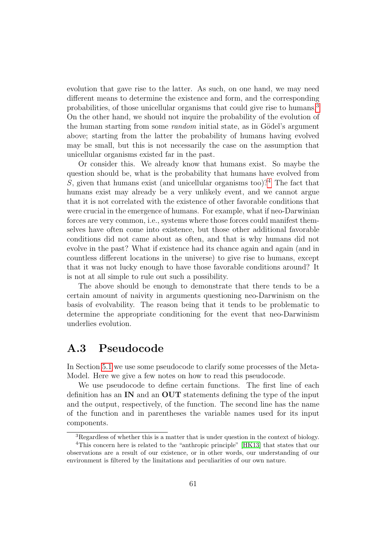evolution that gave rise to the latter. As such, on one hand, we may need different means to determine the existence and form, and the corresponding probabilities, of those unicellular organisms that could give rise to humans.[3](#page-66-1) On the other hand, we should not inquire the probability of the evolution of the human starting from some *random* initial state, as in Gödel's argument above; starting from the latter the probability of humans having evolved may be small, but this is not necessarily the case on the assumption that unicellular organisms existed far in the past.

Or consider this. We already know that humans exist. So maybe the question should be, what is the probability that humans have evolved from S, given that humans exist (and unicellular organisms too)?<sup>[4](#page-66-2)</sup> The fact that humans exist may already be a very unlikely event, and we cannot argue that it is not correlated with the existence of other favorable conditions that were crucial in the emergence of humans. For example, what if neo-Darwinian forces are very common, i.e., systems where those forces could manifest themselves have often come into existence, but those other additional favorable conditions did not came about as often, and that is why humans did not evolve in the past? What if existence had its chance again and again (and in countless different locations in the universe) to give rise to humans, except that it was not lucky enough to have those favorable conditions around? It is not at all simple to rule out such a possibility.

The above should be enough to demonstrate that there tends to be a certain amount of naivity in arguments questioning neo-Darwinism on the basis of evolvability. The reason being that it tends to be problematic to determine the appropriate conditioning for the event that neo-Darwinism underlies evolution.

### <span id="page-66-0"></span>A.3 Pseudocode

In Section [5.1](#page-32-0) we use some pseudocode to clarify some processes of the Meta-Model. Here we give a few notes on how to read this pseudocode.

We use pseudocode to define certain functions. The first line of each definition has an IN and an OUT statements defining the type of the input and the output, respectively, of the function. The second line has the name of the function and in parentheses the variable names used for its input components.

<span id="page-66-2"></span><span id="page-66-1"></span><sup>3</sup>Regardless of whether this is a matter that is under question in the context of biology.

<sup>4</sup>This concern here is related to the "anthropic principle" [\[HK13\]](#page-69-11) that states that our observations are a result of our existence, or in other words, our understanding of our environment is filtered by the limitations and peculiarities of our own nature.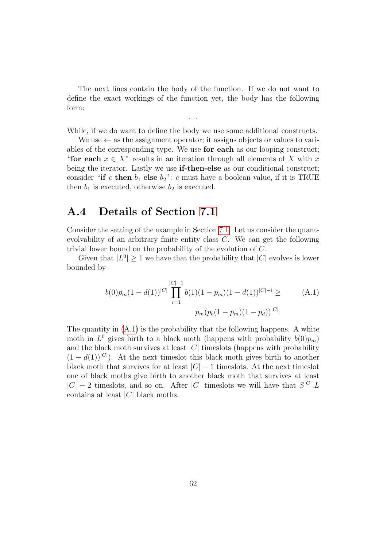The next lines contain the body of the function. If we do not want to define the exact workings of the function yet, the body has the following form:

. . . While, if we do want to define the body we use some additional constructs.

We use  $\leftarrow$  as the assignment operator; it assigns objects or values to variables of the corresponding type. We use for each as our looping construct; "for each  $x \in X$ " results in an iteration through all elements of X with x being the iterator. Lastly we use **if-then-else** as our conditional construct; consider "if c then  $b_1$  else  $b_2$ ": c must have a boolean value, if it is TRUE then  $b_1$  is executed, otherwise  $b_2$  is executed.

### <span id="page-67-0"></span>A.4 Details of Section [7.1](#page-46-1)

Consider the setting of the example in Section [7.1.](#page-46-1) Let us consider the quantevolvability of an arbitrary finite entity class C. We can get the following trivial lower bound on the probability of the evolution of C.

Given that  $|L^0| \geq 1$  we have that the probability that  $|C|$  evolves is lower bounded by

<span id="page-67-1"></span>
$$
b(0)p_m(1-d(1))|^{C|}\prod_{i=1}^{|C|-1}b(1)(1-p_m)(1-d(1))^{|C|-i} \geq (A.1)
$$
  

$$
p_m(p_b(1-p_m)(1-p_d))^{|C|}.
$$

The quantity in [\(A.1\)](#page-67-1) is the probability that the following happens. A white moth in  $L^0$  gives birth to a black moth (happens with probability  $b(0)p_m$ ) and the black moth survives at least  $|C|$  timeslots (happens with probability  $(1 - d(1))^{|\mathcal{C}|}$ . At the next timeslot this black moth gives birth to another black moth that survives for at least  $|C| - 1$  timeslots. At the next timeslot one of black moths give birth to another black moth that survives at least  $|C| - 2$  timeslots, and so on. After |C| timeslots we will have that  $S^{|C|} L$ contains at least  $|C|$  black moths.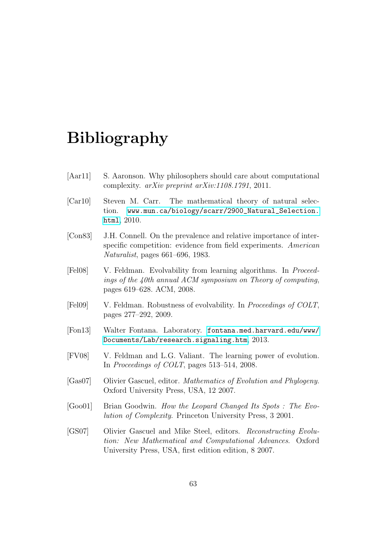### Bibliography

- <span id="page-68-10"></span><span id="page-68-0"></span>[Aar11] S. Aaronson. Why philosophers should care about computational complexity. arXiv preprint arXiv:1108.1791, 2011.
- <span id="page-68-5"></span>[Car10] Steven M. Carr. The mathematical theory of natural selection. [www.mun.ca/biology/scarr/2900\\_Natural\\_Selection.](www.mun.ca/biology/scarr/2900_Natural_Selection.html) [html](www.mun.ca/biology/scarr/2900_Natural_Selection.html), 2010.
- <span id="page-68-6"></span>[Con83] J.H. Connell. On the prevalence and relative importance of interspecific competition: evidence from field experiments. American Naturalist, pages 661–696, 1983.
- <span id="page-68-9"></span>[Fel08] V. Feldman. Evolvability from learning algorithms. In Proceedings of the 40th annual ACM symposium on Theory of computing, pages 619–628. ACM, 2008.
- <span id="page-68-8"></span>[Fel09] V. Feldman. Robustness of evolvability. In Proceedings of COLT, pages 277–292, 2009.
- <span id="page-68-4"></span>[Fon13] Walter Fontana. Laboratory. [fontana.med.harvard.edu/www/](fontana.med.harvard.edu/www/Documents/Lab/research.signaling.htm) [Documents/Lab/research.signaling.htm](fontana.med.harvard.edu/www/Documents/Lab/research.signaling.htm), 2013.
- <span id="page-68-7"></span>[FV08] V. Feldman and L.G. Valiant. The learning power of evolution. In Proceedings of COLT, pages 513–514, 2008.
- <span id="page-68-2"></span>[Gas07] Olivier Gascuel, editor. Mathematics of Evolution and Phylogeny. Oxford University Press, USA, 12 2007.
- <span id="page-68-3"></span>[Goo01] Brian Goodwin. How the Leopard Changed Its Spots : The Evolution of Complexity. Princeton University Press, 3 2001.
- <span id="page-68-1"></span>[GS07] Olivier Gascuel and Mike Steel, editors. Reconstructing Evolution: New Mathematical and Computational Advances. Oxford University Press, USA, first edition edition, 8 2007.